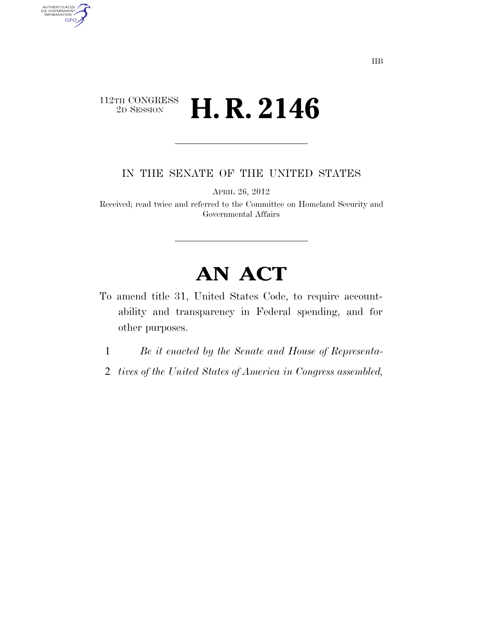## $\begin{array}{c} \textbf{112TH CONGRESS} \\ \textbf{2D SESION} \end{array}$ **H. R. 2146**

AUTHENTICATED<br>U.S. GOVERNMENT<br>INFORMATION **GPO** 

IN THE SENATE OF THE UNITED STATES

APRIL 26, 2012

Received; read twice and referred to the Committee on Homeland Security and Governmental Affairs

# **AN ACT**

- To amend title 31, United States Code, to require accountability and transparency in Federal spending, and for other purposes.
	- 1 *Be it enacted by the Senate and House of Representa-*
- 2 *tives of the United States of America in Congress assembled,*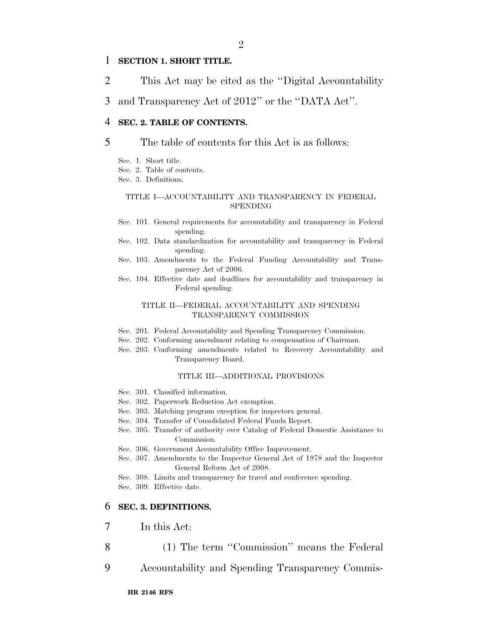#### 1 **SECTION 1. SHORT TITLE.**

- 2 This Act may be cited as the ''Digital Accountability
- 3 and Transparency Act of 2012'' or the ''DATA Act''.

#### 4 **SEC. 2. TABLE OF CONTENTS.**

#### 5 The table of contents for this Act is as follows:

- Sec. 1. Short title.
- Sec. 2. Table of contents.
- Sec. 3. Definitions.

#### TITLE I—ACCOUNTABILITY AND TRANSPARENCY IN FEDERAL SPENDING

- Sec. 101. General requirements for accountability and transparency in Federal spending.
- Sec. 102. Data standardization for accountability and transparency in Federal spending.
- Sec. 103. Amendments to the Federal Funding Accountability and Transparency Act of 2006.
- Sec. 104. Effective date and deadlines for accountability and transparency in Federal spending.

#### TITLE II—FEDERAL ACCOUNTABILITY AND SPENDING TRANSPARENCY COMMISSION

- Sec. 201. Federal Accountability and Spending Transparency Commission.
- Sec. 202. Conforming amendment relating to compensation of Chairman.
- Sec. 203. Conforming amendments related to Recovery Accountability and Transparency Board.

#### TITLE III—ADDITIONAL PROVISIONS

- Sec. 301. Classified information.
- Sec. 302. Paperwork Reduction Act exemption.
- Sec. 303. Matching program exception for inspectors general.
- Sec. 304. Transfer of Consolidated Federal Funds Report.
- Sec. 305. Transfer of authority over Catalog of Federal Domestic Assistance to Commission.
- Sec. 306. Government Accountability Office Improvement.
- Sec. 307. Amendments to the Inspector General Act of 1978 and the Inspector General Reform Act of 2008.
- Sec. 308. Limits and transparency for travel and conference spending. Sec. 309. Effective date.

#### 6 **SEC. 3. DEFINITIONS.**

- 7 In this Act:
- 8 (1) The term "Commission" means the Federal
- 9 Accountability and Spending Transparency Commis-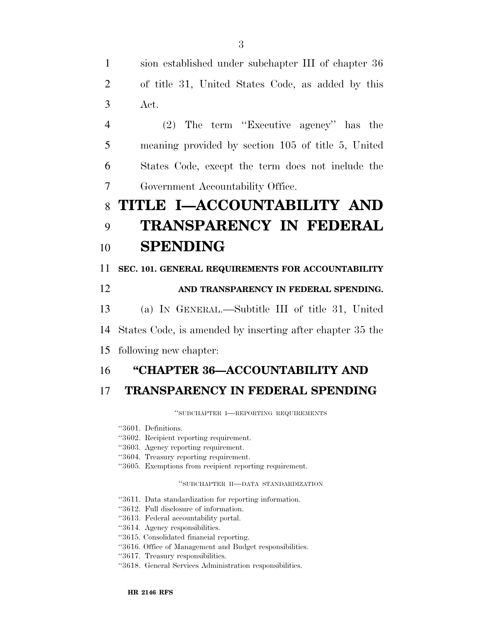1 sion established under subchapter III of chapter 36 2 of title 31, United States Code, as added by this 3 Act.

 (2) The term ''Executive agency'' has the meaning provided by section 105 of title 5, United States Code, except the term does not include the Government Accountability Office.

# 8 **TITLE I—ACCOUNTABILITY AND**

# 9 **TRANSPARENCY IN FEDERAL**  10 **SPENDING**

#### 11 **SEC. 101. GENERAL REQUIREMENTS FOR ACCOUNTABILITY**

### 12 **AND TRANSPARENCY IN FEDERAL SPENDING.**

- 13 (a) IN GENERAL.—Subtitle III of title 31, United
- 14 States Code, is amended by inserting after chapter 35 the
- 15 following new chapter:

### 16 **''CHAPTER 36—ACCOUNTABILITY AND**

### 17 **TRANSPARENCY IN FEDERAL SPENDING**

''SUBCHAPTER I—REPORTING REQUIREMENTS

- ''3601. Definitions.
- ''3602. Recipient reporting requirement.
- ''3603. Agency reporting requirement.
- ''3604. Treasury reporting requirement.
- ''3605. Exemptions from recipient reporting requirement.

#### ''SUBCHAPTER II—DATA STANDARDIZATION

- ''3611. Data standardization for reporting information.
- ''3612. Full disclosure of information.
- ''3613. Federal accountability portal.
- ''3614. Agency responsibilities.
- ''3615. Consolidated financial reporting.
- ''3616. Office of Management and Budget responsibilities.
- ''3617. Treasury responsibilities.
- ''3618. General Services Administration responsibilities.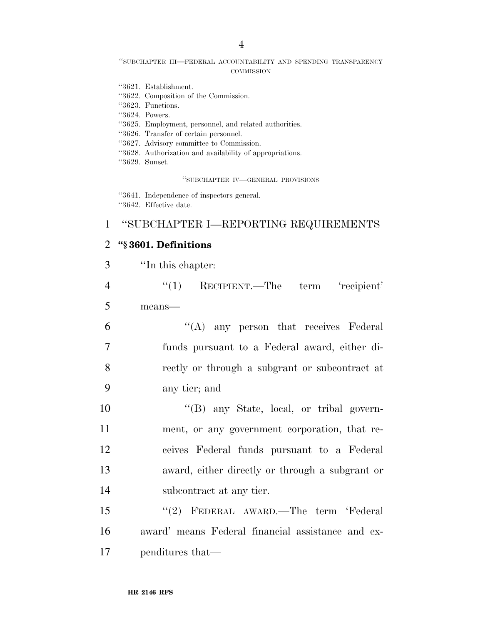#### ''SUBCHAPTER III—FEDERAL ACCOUNTABILITY AND SPENDING TRANSPARENCY **COMMISSION**

- ''3621. Establishment.
- ''3622. Composition of the Commission.
- ''3623. Functions.
- ''3624. Powers.
- ''3625. Employment, personnel, and related authorities.
- ''3626. Transfer of certain personnel.
- ''3627. Advisory committee to Commission.
- ''3628. Authorization and availability of appropriations.
- ''3629. Sunset.

''SUBCHAPTER IV—GENERAL PROVISIONS

- ''3641. Independence of inspectors general.
- ''3642. Effective date.

#### 1 ''SUBCHAPTER I—REPORTING REQUIREMENTS

#### 2 **''§ 3601. Definitions**

- 3 ''In this chapter: 4 ''(1) RECIPIENT.—The term 'recipient' 5 means—  $6$  ''(A) any person that receives Federal 7 funds pursuant to a Federal award, either di-8 rectly or through a subgrant or subcontract at 9 any tier; and 10 ''(B) any State, local, or tribal govern-11 ment, or any government corporation, that re-12 ceives Federal funds pursuant to a Federal 13 award, either directly or through a subgrant or 14 subcontract at any tier. 15 ''(2) FEDERAL AWARD.—The term 'Federal
- 16 award' means Federal financial assistance and ex-17 penditures that—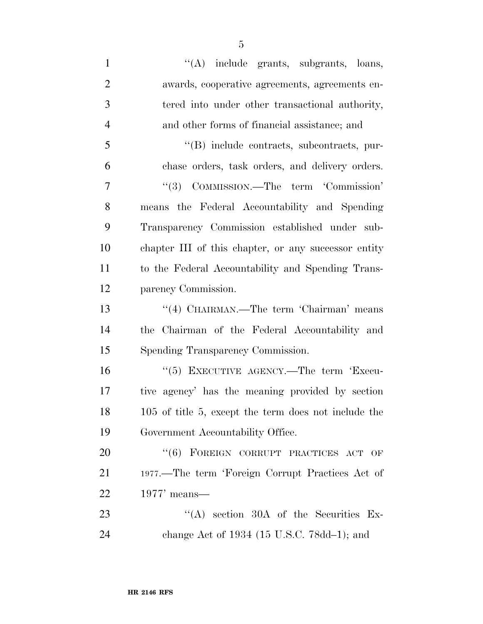| $\mathbf{1}$   | "(A) include grants, subgrants, loans,               |
|----------------|------------------------------------------------------|
| $\overline{2}$ | awards, cooperative agreements, agreements en-       |
| 3              | tered into under other transactional authority,      |
| $\overline{4}$ | and other forms of financial assistance; and         |
| 5              | "(B) include contracts, subcontracts, pur-           |
| 6              | chase orders, task orders, and delivery orders.      |
| 7              | "(3) COMMISSION.—The term 'Commission'               |
| 8              | means the Federal Accountability and Spending        |
| 9              | Transparency Commission established under sub-       |
| 10             | chapter III of this chapter, or any successor entity |
| 11             | to the Federal Accountability and Spending Trans-    |
| 12             | parency Commission.                                  |
| 13             | "(4) CHAIRMAN.—The term 'Chairman' means             |
| 14             | the Chairman of the Federal Accountability and       |
| 15             | Spending Transparency Commission.                    |
| 16             | "(5) EXECUTIVE AGENCY.—The term 'Execu-              |
| 17             | tive agency' has the meaning provided by section     |
| 18             | 105 of title 5, except the term does not include the |
| 19             | Government Accountability Office.                    |
| 20             | "(6) FOREIGN CORRUPT PRACTICES ACT OF                |
| 21             | 1977.—The term 'Foreign Corrupt Practices Act of     |
| 22             | $1977'$ means—                                       |
| 23             | $(4)$ section 30A of the Securities Ex-              |
| 24             | change Act of $1934$ (15 U.S.C. 78dd-1); and         |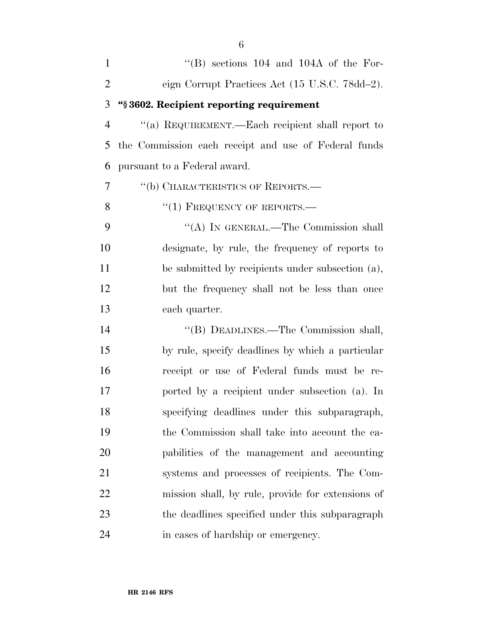| $\mathbf{1}$   | $\lq\lq$ (B) sections 104 and 104A of the For-       |
|----------------|------------------------------------------------------|
| $\overline{2}$ | eign Corrupt Practices Act (15 U.S.C. 78dd-2).       |
| 3              | "§3602. Recipient reporting requirement              |
| $\overline{4}$ | "(a) REQUIREMENT.—Each recipient shall report to     |
| 5              | the Commission each receipt and use of Federal funds |
| 6              | pursuant to a Federal award.                         |
| 7              | "(b) CHARACTERISTICS OF REPORTS.-                    |
| 8              | $``(1)$ FREQUENCY OF REPORTS.—                       |
| 9              | "(A) IN GENERAL.—The Commission shall                |
| 10             | designate, by rule, the frequency of reports to      |
| 11             | be submitted by recipients under subsection (a),     |
| 12             | but the frequency shall not be less than once        |
| 13             | each quarter.                                        |
| 14             | "(B) DEADLINES.—The Commission shall,                |
| 15             | by rule, specify deadlines by which a particular     |
| 16             | receipt or use of Federal funds must be re-          |
| 17             | ported by a recipient under subsection (a). In       |
| 18             | specifying deadlines under this subparagraph,        |
| 19             | the Commission shall take into account the ca-       |
| 20             | pabilities of the management and accounting          |
| 21             | systems and processes of recipients. The Com-        |
| 22             | mission shall, by rule, provide for extensions of    |
| 23             | the deadlines specified under this subparagraph      |
| 24             | in cases of hardship or emergency.                   |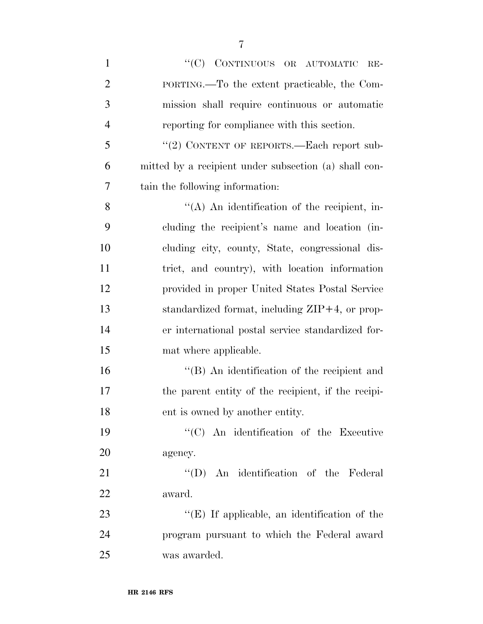| $\mathbf{1}$   | "(C) CONTINUOUS OR AUTOMATIC<br>$RE-$                 |
|----------------|-------------------------------------------------------|
| $\overline{2}$ | PORTING.—To the extent practicable, the Com-          |
| 3              | mission shall require continuous or automatic         |
| $\overline{4}$ | reporting for compliance with this section.           |
| 5              | "(2) CONTENT OF REPORTS.—Each report sub-             |
| 6              | mitted by a recipient under subsection (a) shall con- |
| 7              | tain the following information:                       |
| 8              | $\lq (A)$ An identification of the recipient, in-     |
| 9              | cluding the recipient's name and location (in-        |
| 10             | cluding city, county, State, congressional dis-       |
| 11             | trict, and country), with location information        |
| 12             | provided in proper United States Postal Service       |
| 13             | standardized format, including $ZIP+4$ , or prop-     |
| 14             | er international postal service standardized for-     |
| 15             | mat where applicable.                                 |
| 16             | "(B) An identification of the recipient and           |
| 17             | the parent entity of the recipient, if the recipi-    |
| 18             | ent is owned by another entity.                       |
| 19             | $\lq\lq$ C) An identification of the Executive        |
| 20             | agency.                                               |
| 21             | "(D) An identification of the Federal                 |
| 22             | award.                                                |
| 23             | $\lq\lq$ (E) If applicable, an identification of the  |
| 24             | program pursuant to which the Federal award           |
| 25             | was awarded.                                          |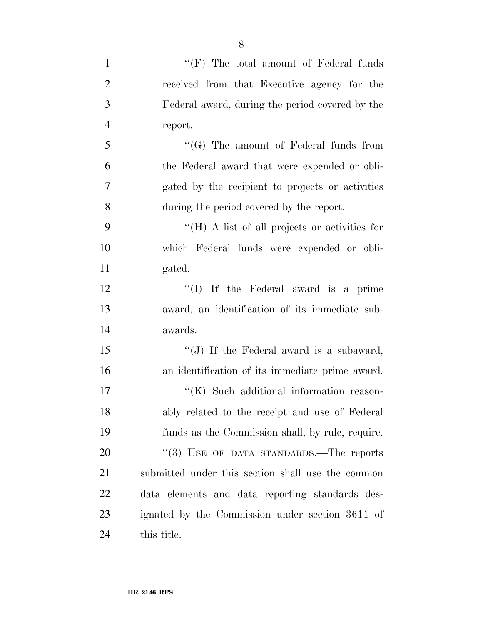| $\mathbf{1}$   | $``(F)$ The total amount of Federal funds         |
|----------------|---------------------------------------------------|
| $\overline{2}$ | received from that Executive agency for the       |
| 3              | Federal award, during the period covered by the   |
| $\overline{4}$ | report.                                           |
| 5              | " $(G)$ The amount of Federal funds from          |
| 6              | the Federal award that were expended or obli-     |
| $\overline{7}$ | gated by the recipient to projects or activities  |
| 8              | during the period covered by the report.          |
| 9              | "(H) A list of all projects or activities for     |
| 10             | which Federal funds were expended or obli-        |
| 11             | gated.                                            |
| 12             | "(I) If the Federal award is a prime              |
| 13             | award, an identification of its immediate sub-    |
| 14             | awards.                                           |
| 15             | "(J) If the Federal award is a subaward,          |
| 16             | an identification of its immediate prime award.   |
| 17             | "(K) Such additional information reason-          |
| 18             | ably related to the receipt and use of Federal    |
| 19             | funds as the Commission shall, by rule, require.  |
| 20             | "(3) USE OF DATA STANDARDS.—The reports           |
| 21             | submitted under this section shall use the common |
| 22             | data elements and data reporting standards des-   |
| 23             | ignated by the Commission under section 3611 of   |
|                |                                                   |

this title.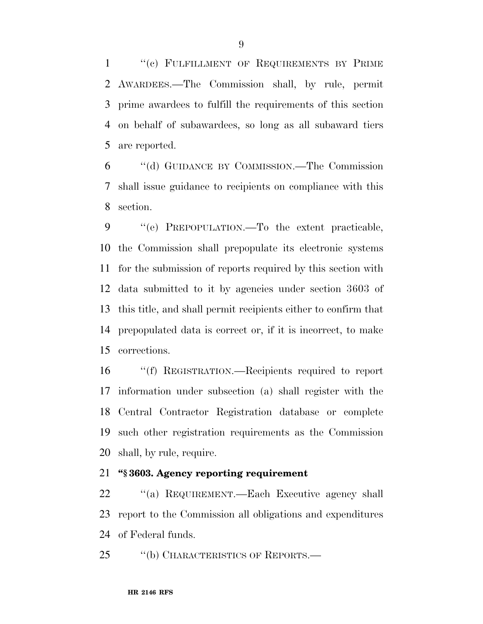1 "(c) FULFILLMENT OF REQUIREMENTS BY PRIME AWARDEES.—The Commission shall, by rule, permit prime awardees to fulfill the requirements of this section on behalf of subawardees, so long as all subaward tiers are reported.

 ''(d) GUIDANCE BY COMMISSION.—The Commission shall issue guidance to recipients on compliance with this section.

 ''(e) PREPOPULATION.—To the extent practicable, the Commission shall prepopulate its electronic systems for the submission of reports required by this section with data submitted to it by agencies under section 3603 of this title, and shall permit recipients either to confirm that prepopulated data is correct or, if it is incorrect, to make corrections.

 ''(f) REGISTRATION.—Recipients required to report information under subsection (a) shall register with the Central Contractor Registration database or complete such other registration requirements as the Commission shall, by rule, require.

#### **''§ 3603. Agency reporting requirement**

 ''(a) REQUIREMENT.—Each Executive agency shall report to the Commission all obligations and expenditures of Federal funds.

25 "(b) CHARACTERISTICS OF REPORTS.—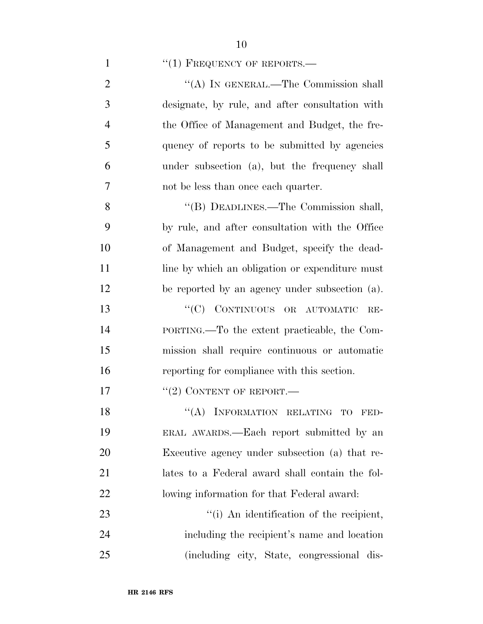1  $"(1)$  FREQUENCY OF REPORTS.—

| $\overline{2}$ | "(A) IN GENERAL.—The Commission shall           |
|----------------|-------------------------------------------------|
| 3              | designate, by rule, and after consultation with |
| $\overline{4}$ | the Office of Management and Budget, the fre-   |
| 5              | quency of reports to be submitted by agencies   |
| 6              | under subsection (a), but the frequency shall   |
| $\overline{7}$ | not be less than once each quarter.             |
| 8              | "(B) DEADLINES.—The Commission shall,           |
| 9              | by rule, and after consultation with the Office |
| 10             | of Management and Budget, specify the dead-     |
| 11             | line by which an obligation or expenditure must |
| 12             | be reported by an agency under subsection (a).  |
| 13             | "(C) CONTINUOUS OR AUTOMATIC<br>$RE-$           |
| 14             | PORTING.—To the extent practicable, the Com-    |
| 15             | mission shall require continuous or automatic   |
| 16             | reporting for compliance with this section.     |
| 17             | $``(2)$ CONTENT OF REPORT.—                     |
| 18             | INFORMATION RELATING TO<br>``(A)<br>FED-        |
| 19             | ERAL AWARDS.—Each report submitted by an        |
| 20             | Executive agency under subsection (a) that re-  |
| 21             | lates to a Federal award shall contain the fol- |
| 22             | lowing information for that Federal award:      |
| 23             | "(i) An identification of the recipient,        |
| 24             | including the recipient's name and location     |
| 25             | (including city, State, congressional dis-      |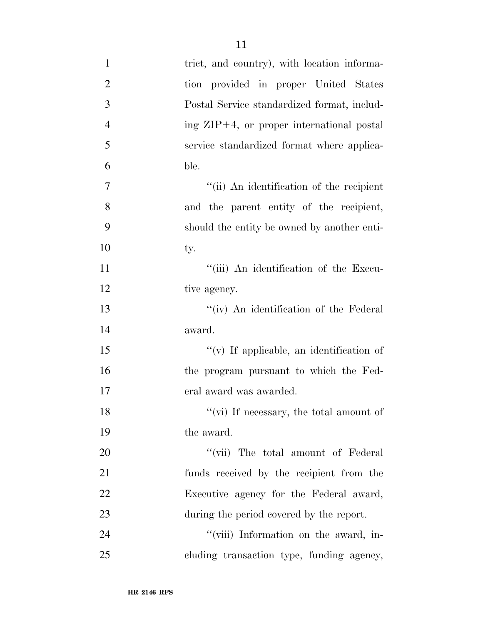| $\mathbf{1}$     | trict, and country), with location informa-  |
|------------------|----------------------------------------------|
| $\overline{2}$   | tion provided in proper United States        |
| 3                | Postal Service standardized format, includ-  |
| $\overline{4}$   | ing $ZIP+4$ , or proper international postal |
| 5                | service standardized format where applica-   |
| 6                | ble.                                         |
| $\boldsymbol{7}$ | "(ii) An identification of the recipient     |
| 8                | and the parent entity of the recipient,      |
| 9                | should the entity be owned by another enti-  |
| 10               | ty.                                          |
| 11               | "(iii) An identification of the Execu-       |
| 12               | tive agency.                                 |
| 13               | "(iv) An identification of the Federal       |
| 14               | award.                                       |
| 15               | "(v) If applicable, an identification of     |
| 16               | the program pursuant to which the Fed-       |
| 17               | eral award was awarded.                      |
| 18               | "(vi) If necessary, the total amount of      |
| 19               | the award.                                   |
| 20               | "(vii) The total amount of Federal"          |
| 21               | funds received by the recipient from the     |
| 22               | Executive agency for the Federal award,      |
| 23               | during the period covered by the report.     |
| 24               | "(viii) Information on the award, in-        |
| 25               | cluding transaction type, funding agency,    |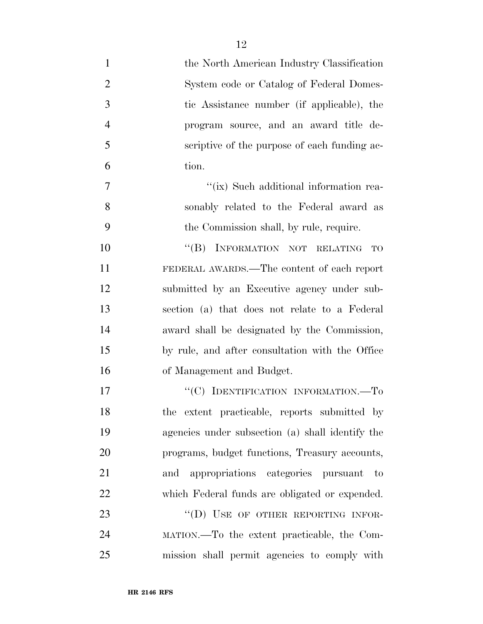| $\mathbf{1}$   | the North American Industry Classification       |
|----------------|--------------------------------------------------|
| $\overline{2}$ | System code or Catalog of Federal Domes-         |
| 3              | tic Assistance number (if applicable), the       |
| $\overline{4}$ | program source, and an award title de-           |
| 5              | scriptive of the purpose of each funding ac-     |
| 6              | tion.                                            |
| 7              | "(ix) Such additional information rea-           |
| 8              | sonably related to the Federal award as          |
| 9              | the Commission shall, by rule, require.          |
| 10             | "(B) INFORMATION NOT RELATING<br>TO              |
| 11             | FEDERAL AWARDS.—The content of each report       |
| 12             | submitted by an Executive agency under sub-      |
| 13             | section (a) that does not relate to a Federal    |
| 14             | award shall be designated by the Commission,     |
| 15             | by rule, and after consultation with the Office  |
| 16             | of Management and Budget.                        |
| 17             | "(C) IDENTIFICATION INFORMATION.—To              |
| 18             | the extent practicable, reports submitted by     |
| 19             | agencies under subsection (a) shall identify the |
| 20             | programs, budget functions, Treasury accounts,   |
| 21             | and appropriations categories pursuant to        |
| 22             | which Federal funds are obligated or expended.   |
| 23             | "(D) USE OF OTHER REPORTING INFOR-               |
| 24             | MATION.—To the extent practicable, the Com-      |
| 25             | mission shall permit agencies to comply with     |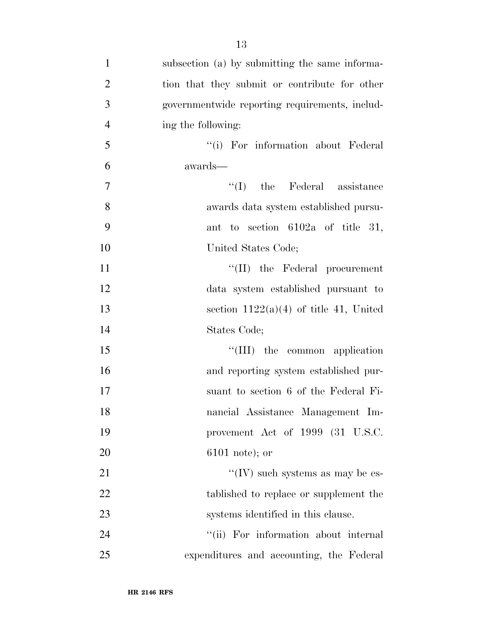- subsection (a) by submitting the same informa- tion that they submit or contribute for other governmentwide reporting requirements, includ- ing the following: ''(i) For information about Federal awards— 7  $\text{``(I)}$  the Federal assistance awards data system established pursu- ant to section 6102a of title 31, United States Code; 11  $\text{``(II)}$  the Federal procurement data system established pursuant to 13 section  $1122(a)(4)$  of title 41, United States Code; 15 ''(III) the common application and reporting system established pur- suant to section 6 of the Federal Fi- nancial Assistance Management Im- provement Act of 1999 (31 U.S.C. 6101 note); or 21  $\text{``(IV)}$  such systems as may be es-22 tablished to replace or supplement the 23 systems identified in this clause. 24 ''(ii) For information about internal
- expenditures and accounting, the Federal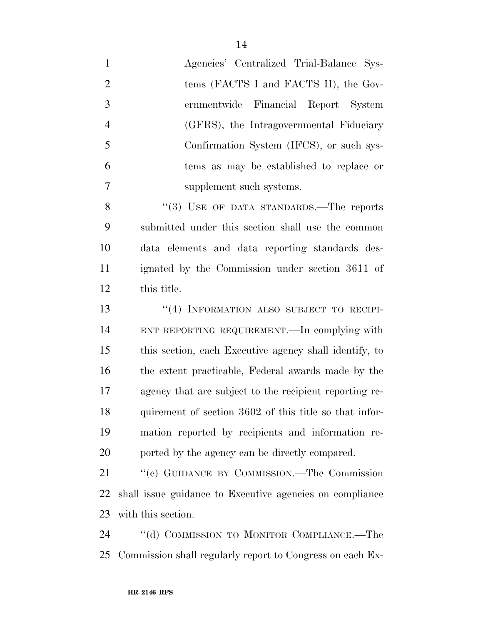| $\mathbf{1}$   | Agencies' Centralized Trial-Balance Sys-                  |
|----------------|-----------------------------------------------------------|
| $\overline{2}$ | tems (FACTS I and FACTS II), the Gov-                     |
| 3              | ernmentwide Financial Report System                       |
| $\overline{4}$ | (GFRS), the Intragovernmental Fiduciary                   |
| 5              | Confirmation System (IFCS), or such sys-                  |
| 6              | tems as may be established to replace or                  |
| 7              | supplement such systems.                                  |
| 8              | "(3) USE OF DATA STANDARDS.—The reports                   |
| 9              | submitted under this section shall use the common         |
| 10             | data elements and data reporting standards des-           |
| 11             | ignated by the Commission under section 3611 of           |
| 12             | this title.                                               |
| 13             | "(4) INFORMATION ALSO SUBJECT TO RECIPI-                  |
| 14             | ENT REPORTING REQUIREMENT. In complying with              |
| 15             | this section, each Executive agency shall identify, to    |
| 16             | the extent practicable, Federal awards made by the        |
| $17\,$         | agency that are subject to the recipient reporting re-    |
| 18             | quirement of section 3602 of this title so that infor-    |
| 19             | mation reported by recipients and information re-         |
| 20             | ported by the agency can be directly compared.            |
| 21             | "(c) GUIDANCE BY COMMISSION.—The Commission               |
| 22             | shall issue guidance to Executive agencies on compliance  |
| 23             | with this section.                                        |
| 24             | "(d) COMMISSION TO MONITOR COMPLIANCE.—The                |
| 25             | Commission shall regularly report to Congress on each Ex- |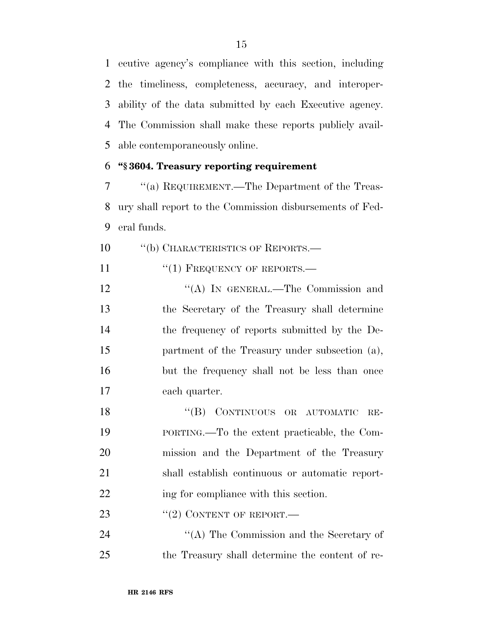ecutive agency's compliance with this section, including the timeliness, completeness, accuracy, and interoper- ability of the data submitted by each Executive agency. The Commission shall make these reports publicly avail-able contemporaneously online.

#### **''§ 3604. Treasury reporting requirement**

 ''(a) REQUIREMENT.—The Department of the Treas- ury shall report to the Commission disbursements of Fed-eral funds.

10 "(b) CHARACTERISTICS OF REPORTS.—

11 "(1) FREQUENCY OF REPORTS.—

12 "(A) IN GENERAL.—The Commission and the Secretary of the Treasury shall determine the frequency of reports submitted by the De- partment of the Treasury under subsection (a), but the frequency shall not be less than once each quarter.

18 "(B) CONTINUOUS OR AUTOMATIC RE- PORTING.—To the extent practicable, the Com- mission and the Department of the Treasury shall establish continuous or automatic report-22 ing for compliance with this section.

23  $((2)$  CONTENT OF REPORT.

24 ''(A) The Commission and the Secretary of the Treasury shall determine the content of re-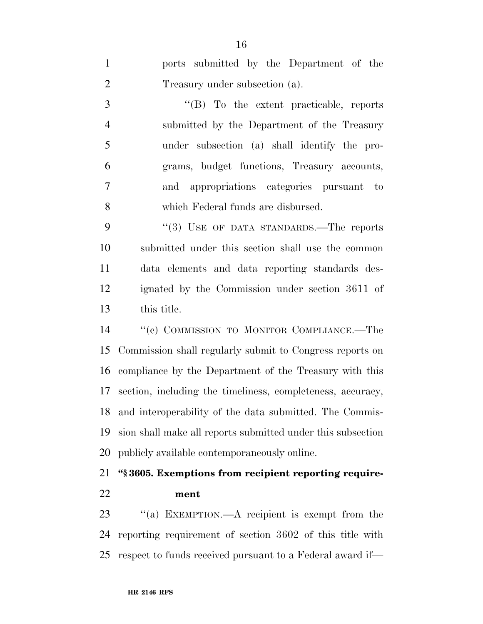ports submitted by the Department of the Treasury under subsection (a). ''(B) To the extent practicable, reports submitted by the Department of the Treasury under subsection (a) shall identify the pro- grams, budget functions, Treasury accounts, and appropriations categories pursuant to which Federal funds are disbursed. 9 "(3) USE OF DATA STANDARDS.—The reports submitted under this section shall use the common data elements and data reporting standards des- ignated by the Commission under section 3611 of this title. ''(c) COMMISSION TO MONITOR COMPLIANCE.—The Commission shall regularly submit to Congress reports on compliance by the Department of the Treasury with this section, including the timeliness, completeness, accuracy, and interoperability of the data submitted. The Commis-

 sion shall make all reports submitted under this subsection publicly available contemporaneously online.

## **''§ 3605. Exemptions from recipient reporting require-ment**

23 "(a) EXEMPTION.—A recipient is exempt from the reporting requirement of section 3602 of this title with respect to funds received pursuant to a Federal award if—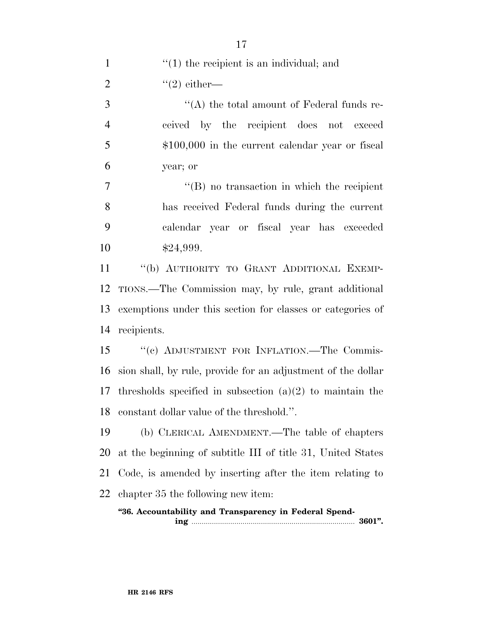| $\mathbf{1}$   | $\cdot$ (1) the recipient is an individual; and                |
|----------------|----------------------------------------------------------------|
| $\overline{2}$ | $"(2)$ either—                                                 |
| 3              | $\lq\lq$ the total amount of Federal funds re-                 |
| $\overline{4}$ | ceived by the recipient does not exceed                        |
| $\mathfrak{S}$ | $$100,000$ in the current calendar year or fiscal              |
| 6              | year; or                                                       |
| $\overline{7}$ | $\lq\lq (B)$ no transaction in which the recipient             |
| 8              | has received Federal funds during the current                  |
| 9              | calendar year or fiscal year has exceeded                      |
| 10             | \$24,999.                                                      |
| 11             | "(b) AUTHORITY TO GRANT ADDITIONAL EXEMP-                      |
| 12             | TIONS.—The Commission may, by rule, grant additional           |
| 13             | exemptions under this section for classes or categories of     |
| 14             | recipients.                                                    |
| 15             | "(c) ADJUSTMENT FOR INFLATION. The Commis-                     |
| 16             | sion shall, by rule, provide for an adjustment of the dollar   |
|                | 17 thresholds specified in subsection $(a)(2)$ to maintain the |
|                | 18 constant dollar value of the threshold.".                   |
| 19             | (b) CLERICAL AMENDMENT.—The table of chapters                  |
| 20             | at the beginning of subtitle III of title 31, United States    |
| 21             | Code, is amended by inserting after the item relating to       |
| 22             | chapter 35 the following new item:                             |
|                | "36. Accountability and Transparency in Federal Spend-         |

**ing** ................................................................................ **3601''.**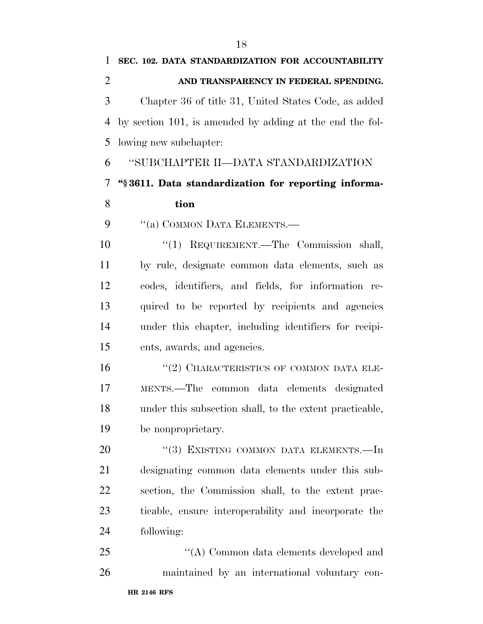**SEC. 102. DATA STANDARDIZATION FOR ACCOUNTABILITY AND TRANSPARENCY IN FEDERAL SPENDING.**  Chapter 36 of title 31, United States Code, as added by section 101, is amended by adding at the end the fol-lowing new subchapter:

''SUBCHAPTER II—DATA STANDARDIZATION

## **''§ 3611. Data standardization for reporting informa-tion**

9 "(a) COMMON DATA ELEMENTS.—

 ''(1) REQUIREMENT.—The Commission shall, by rule, designate common data elements, such as codes, identifiers, and fields, for information re- quired to be reported by recipients and agencies under this chapter, including identifiers for recipi-ents, awards, and agencies.

 ''(2) CHARACTERISTICS OF COMMON DATA ELE- MENTS.—The common data elements designated under this subsection shall, to the extent practicable, be nonproprietary.

20 "(3) EXISTING COMMON DATA ELEMENTS.—In designating common data elements under this sub- section, the Commission shall, to the extent prac- ticable, ensure interoperability and incorporate the following:

**HR 2146 RFS** 25  $\bullet$  ''(A) Common data elements developed and maintained by an international voluntary con-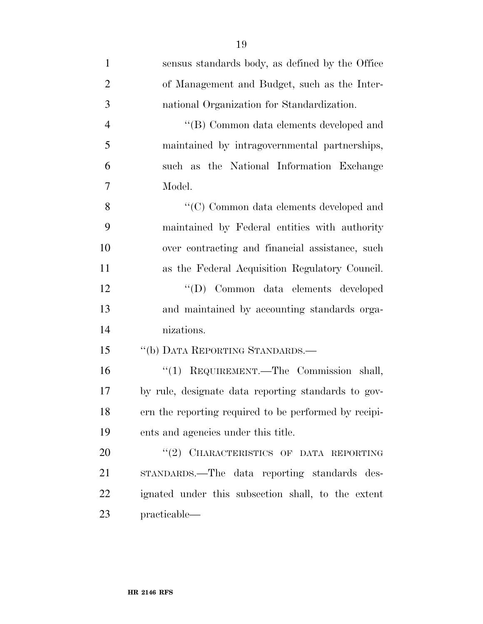| $\mathbf{1}$   | sensus standards body, as defined by the Office       |
|----------------|-------------------------------------------------------|
| $\overline{2}$ | of Management and Budget, such as the Inter-          |
| 3              | national Organization for Standardization.            |
| $\overline{4}$ | "(B) Common data elements developed and               |
| 5              | maintained by intragovernmental partnerships,         |
| 6              | such as the National Information Exchange             |
| 7              | Model.                                                |
| 8              | $\lq\lq C)$ Common data elements developed and        |
| 9              | maintained by Federal entities with authority         |
| 10             | over contracting and financial assistance, such       |
| 11             | as the Federal Acquisition Regulatory Council.        |
| 12             | "(D) Common data elements developed                   |
| 13             | and maintained by accounting standards orga-          |
| 14             | nizations.                                            |
| 15             | "(b) DATA REPORTING STANDARDS.—                       |
| 16             | "(1) REQUIREMENT.—The Commission shall,               |
| 17             | by rule, designate data reporting standards to gov-   |
| 18             | ern the reporting required to be performed by recipi- |
| 19             | ents and agencies under this title.                   |
| 20             | "(2) CHARACTERISTICS OF DATA REPORTING                |
| 21             | STANDARDS.—The data reporting standards des-          |
| 22             | ignated under this subsection shall, to the extent    |
| 23             | practicable—                                          |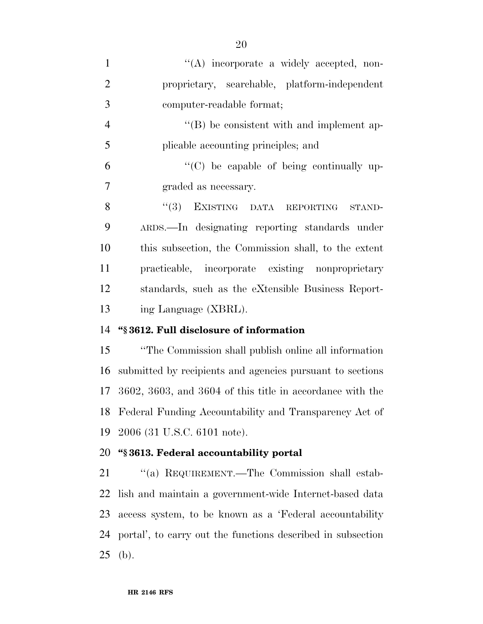| $\mathbf{1}$   | $\lq\lq$ incorporate a widely accepted, non-                 |
|----------------|--------------------------------------------------------------|
| $\overline{2}$ | proprietary, searchable, platform-independent                |
| 3              | computer-readable format;                                    |
| $\overline{4}$ | $\lq\lq (B)$ be consistent with and implement ap-            |
| 5              | plicable accounting principles; and                          |
| 6              | $\lq\lq$ (C) be capable of being continually up-             |
| $\overline{7}$ | graded as necessary.                                         |
| 8              | "(3) EXISTING DATA REPORTING<br>STAND-                       |
| 9              | ARDS.—In designating reporting standards under               |
| 10             | this subsection, the Commission shall, to the extent         |
| 11             | practicable, incorporate existing nonproprietary             |
| 12             | standards, such as the eXtensible Business Report-           |
| 13             | ing Language (XBRL).                                         |
|                |                                                              |
| 14             | "§3612. Full disclosure of information                       |
|                | "The Commission shall publish online all information"        |
| 15<br>16       | submitted by recipients and agencies pursuant to sections    |
|                | 17 3602, 3603, and 3604 of this title in accordance with the |
|                | 18 Federal Funding Accountability and Transparency Act of    |
| 19             | 2006 (31 U.S.C. 6101 note).                                  |
| 20             | "§3613. Federal accountability portal                        |
| 21             | "(a) REQUIREMENT.—The Commission shall estab-                |
| 22             | lish and maintain a government-wide Internet-based data      |
| 23             | access system, to be known as a 'Federal accountability      |
| 24             | portal', to carry out the functions described in subsection  |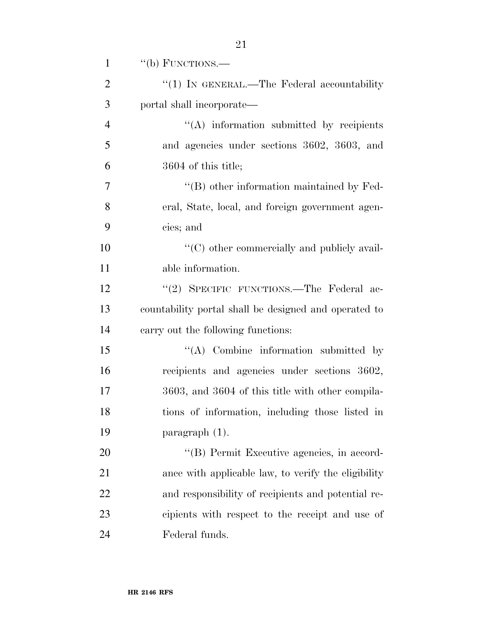| $\mathbf{1}$   | "(b) FUNCTIONS.—                                      |
|----------------|-------------------------------------------------------|
| $\overline{2}$ | " $(1)$ In GENERAL.—The Federal accountability        |
| 3              | portal shall incorporate—                             |
| $\overline{4}$ | $\lq\lq$ information submitted by recipients          |
| 5              | and agencies under sections 3602, 3603, and           |
| 6              | 3604 of this title;                                   |
| $\overline{7}$ | $\lq\lq (B)$ other information maintained by Fed-     |
| 8              | eral, State, local, and foreign government agen-      |
| 9              | cies; and                                             |
| 10             | $\lq\lq$ other commercially and publicly avail-       |
| 11             | able information.                                     |
| 12             | "(2) SPECIFIC FUNCTIONS.—The Federal ac-              |
| 13             | countability portal shall be designed and operated to |
| 14             | carry out the following functions:                    |
| 15             | "(A) Combine information submitted by                 |
| 16             | recipients and agencies under sections 3602,          |
| 17             | 3603, and 3604 of this title with other compila-      |
| 18             | tions of information, including those listed in       |
| 19             | $\frac{1}{2}$ paragraph $(1)$ .                       |
| 20             | "(B) Permit Executive agencies, in accord-            |
| 21             | ance with applicable law, to verify the eligibility   |
| 22             | and responsibility of recipients and potential re-    |
| 23             | cipients with respect to the receipt and use of       |
| 24             | Federal funds.                                        |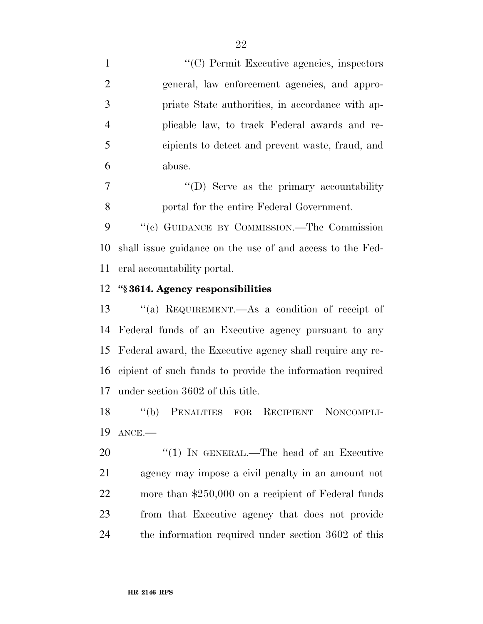$\lq(0)$  Permit Executive agencies, inspectors general, law enforcement agencies, and appro- priate State authorities, in accordance with ap- plicable law, to track Federal awards and re- cipients to detect and prevent waste, fraud, and abuse.

7  $\langle\text{``(D)}\rangle$  Serve as the primary accountability portal for the entire Federal Government.

 ''(c) GUIDANCE BY COMMISSION.—The Commission shall issue guidance on the use of and access to the Fed-eral accountability portal.

#### **''§ 3614. Agency responsibilities**

 ''(a) REQUIREMENT.—As a condition of receipt of Federal funds of an Executive agency pursuant to any Federal award, the Executive agency shall require any re- cipient of such funds to provide the information required under section 3602 of this title.

 ''(b) PENALTIES FOR RECIPIENT NONCOMPLI-ANCE.—

20 "(1) IN GENERAL.—The head of an Executive agency may impose a civil penalty in an amount not more than \$250,000 on a recipient of Federal funds from that Executive agency that does not provide the information required under section 3602 of this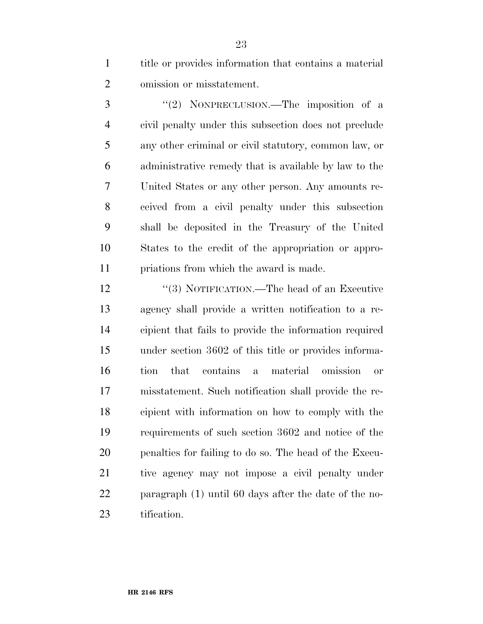title or provides information that contains a material omission or misstatement.

3 "(2) NONPRECLUSION.—The imposition of a civil penalty under this subsection does not preclude any other criminal or civil statutory, common law, or administrative remedy that is available by law to the United States or any other person. Any amounts re- ceived from a civil penalty under this subsection shall be deposited in the Treasury of the United States to the credit of the appropriation or appro-priations from which the award is made.

12 "(3) NOTIFICATION.—The head of an Executive agency shall provide a written notification to a re- cipient that fails to provide the information required under section 3602 of this title or provides informa- tion that contains a material omission or misstatement. Such notification shall provide the re- cipient with information on how to comply with the requirements of such section 3602 and notice of the penalties for failing to do so. The head of the Execu- tive agency may not impose a civil penalty under paragraph (1) until 60 days after the date of the no-tification.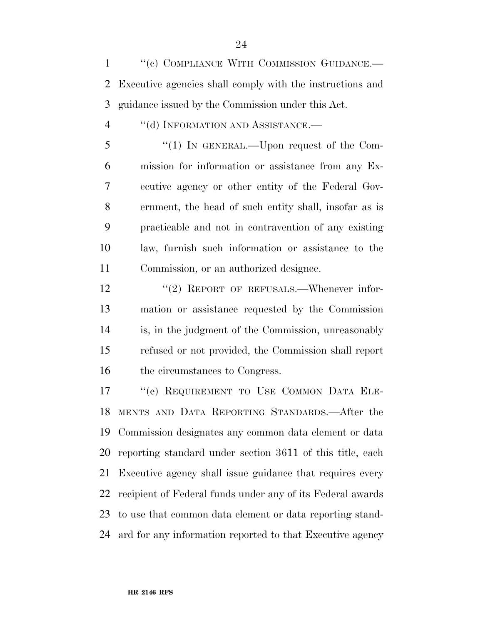1 "(c) COMPLIANCE WITH COMMISSION GUIDANCE.— Executive agencies shall comply with the instructions and guidance issued by the Commission under this Act.

4 "(d) INFORMATION AND ASSISTANCE.

5 "(1) In GENERAL.—Upon request of the Com- mission for information or assistance from any Ex- ecutive agency or other entity of the Federal Gov- ernment, the head of such entity shall, insofar as is practicable and not in contravention of any existing law, furnish such information or assistance to the Commission, or an authorized designee.

12 "(2) REPORT OF REFUSALS.—Whenever infor- mation or assistance requested by the Commission is, in the judgment of the Commission, unreasonably refused or not provided, the Commission shall report 16 the circumstances to Congress.

 ''(e) REQUIREMENT TO USE COMMON DATA ELE- MENTS AND DATA REPORTING STANDARDS.—After the Commission designates any common data element or data reporting standard under section 3611 of this title, each Executive agency shall issue guidance that requires every recipient of Federal funds under any of its Federal awards to use that common data element or data reporting stand-ard for any information reported to that Executive agency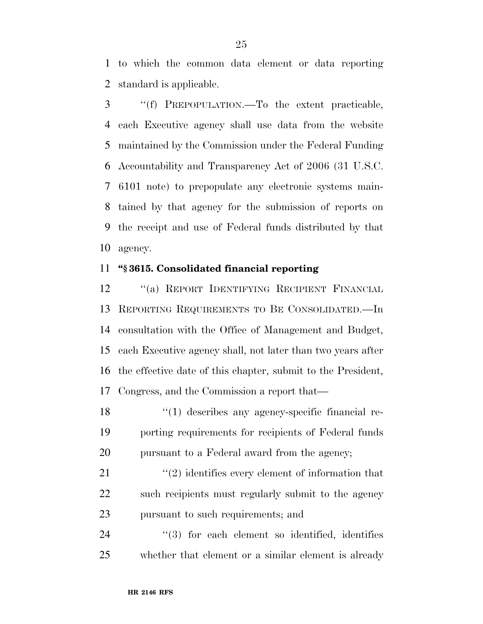to which the common data element or data reporting standard is applicable.

 ''(f) PREPOPULATION.—To the extent practicable, each Executive agency shall use data from the website maintained by the Commission under the Federal Funding Accountability and Transparency Act of 2006 (31 U.S.C. 6101 note) to prepopulate any electronic systems main- tained by that agency for the submission of reports on the receipt and use of Federal funds distributed by that agency.

#### **''§ 3615. Consolidated financial reporting**

 ''(a) REPORT IDENTIFYING RECIPIENT FINANCIAL REPORTING REQUIREMENTS TO BE CONSOLIDATED.—In consultation with the Office of Management and Budget, each Executive agency shall, not later than two years after the effective date of this chapter, submit to the President, Congress, and the Commission a report that—

18 ''(1) describes any agency-specific financial re- porting requirements for recipients of Federal funds pursuant to a Federal award from the agency;

21 ''(2) identifies every element of information that 22 such recipients must regularly submit to the agency pursuant to such requirements; and

24  $(3)$  for each element so identified, identifies whether that element or a similar element is already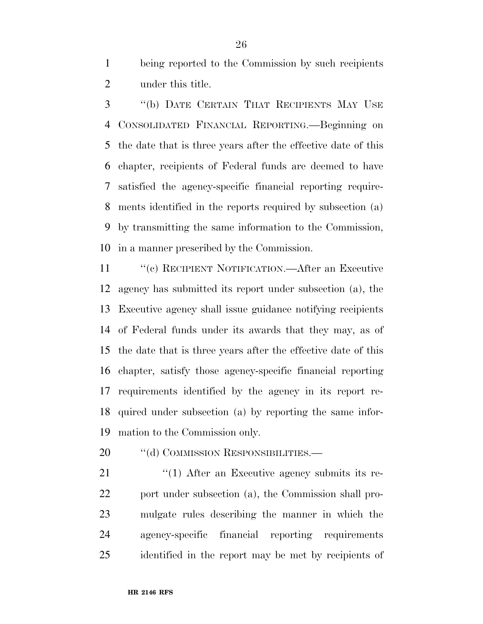being reported to the Commission by such recipients under this title.

 ''(b) DATE CERTAIN THAT RECIPIENTS MAY USE CONSOLIDATED FINANCIAL REPORTING.—Beginning on the date that is three years after the effective date of this chapter, recipients of Federal funds are deemed to have satisfied the agency-specific financial reporting require- ments identified in the reports required by subsection (a) by transmitting the same information to the Commission, in a manner prescribed by the Commission.

 ''(c) RECIPIENT NOTIFICATION.—After an Executive agency has submitted its report under subsection (a), the Executive agency shall issue guidance notifying recipients of Federal funds under its awards that they may, as of the date that is three years after the effective date of this chapter, satisfy those agency-specific financial reporting requirements identified by the agency in its report re- quired under subsection (a) by reporting the same infor-mation to the Commission only.

20 "(d) COMMISSION RESPONSIBILITIES.—

21 ''(1) After an Executive agency submits its re-22 port under subsection (a), the Commission shall pro- mulgate rules describing the manner in which the agency-specific financial reporting requirements identified in the report may be met by recipients of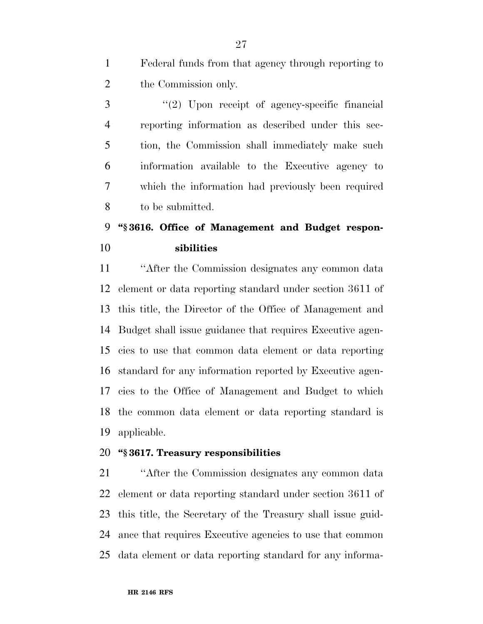Federal funds from that agency through reporting to the Commission only.

 ''(2) Upon receipt of agency-specific financial reporting information as described under this sec- tion, the Commission shall immediately make such information available to the Executive agency to which the information had previously been required to be submitted.

## **''§ 3616. Office of Management and Budget respon-sibilities**

 ''After the Commission designates any common data element or data reporting standard under section 3611 of this title, the Director of the Office of Management and Budget shall issue guidance that requires Executive agen- cies to use that common data element or data reporting standard for any information reported by Executive agen- cies to the Office of Management and Budget to which the common data element or data reporting standard is applicable.

### **''§ 3617. Treasury responsibilities**

 ''After the Commission designates any common data element or data reporting standard under section 3611 of this title, the Secretary of the Treasury shall issue guid- ance that requires Executive agencies to use that common data element or data reporting standard for any informa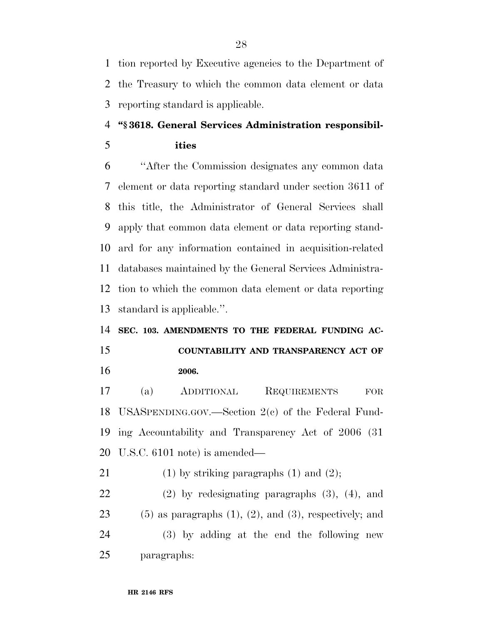tion reported by Executive agencies to the Department of the Treasury to which the common data element or data reporting standard is applicable.

## **''§ 3618. General Services Administration responsibil-**

**ities** 

 ''After the Commission designates any common data element or data reporting standard under section 3611 of this title, the Administrator of General Services shall apply that common data element or data reporting stand- ard for any information contained in acquisition-related databases maintained by the General Services Administra- tion to which the common data element or data reporting standard is applicable.''.

## **SEC. 103. AMENDMENTS TO THE FEDERAL FUNDING AC-**

## **COUNTABILITY AND TRANSPARENCY ACT OF 2006.**

 (a) ADDITIONAL REQUIREMENTS FOR USASPENDING.GOV.—Section 2(c) of the Federal Fund- ing Accountability and Transparency Act of 2006 (31 U.S.C. 6101 note) is amended—

21 (1) by striking paragraphs  $(1)$  and  $(2)$ ;

 (2) by redesignating paragraphs (3), (4), and  $(5)$  as paragraphs  $(1)$ ,  $(2)$ , and  $(3)$ , respectively; and (3) by adding at the end the following new paragraphs: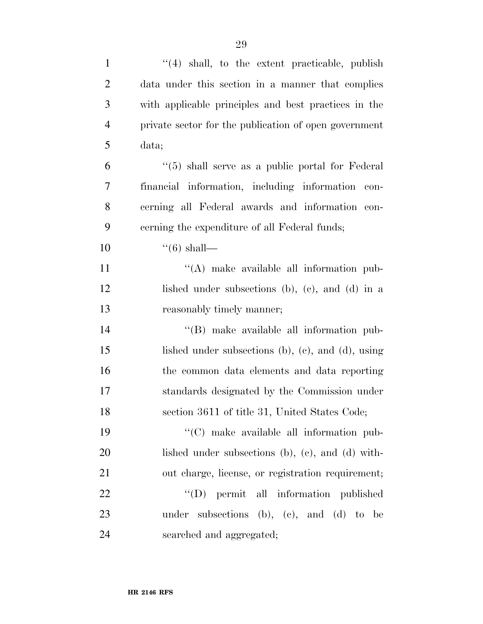| $\mathbf{1}$   | "(4) shall, to the extent practicable, publish              |
|----------------|-------------------------------------------------------------|
| $\overline{2}$ | data under this section in a manner that complies           |
| 3              | with applicable principles and best practices in the        |
| $\overline{4}$ | private sector for the publication of open government       |
| 5              | data;                                                       |
| 6              | $\cdot\cdot$ (5) shall serve as a public portal for Federal |
| 7              | financial information, including information con-           |
| 8              | cerning all Federal awards and information con-             |
| 9              | cerning the expenditure of all Federal funds;               |
| 10             | $\lq(6)$ shall—                                             |
| 11             | $\lq\lq$ make available all information pub-                |
| 12             | lished under subsections (b), (c), and (d) in a             |
| 13             | reasonably timely manner;                                   |
| 14             | "(B) make available all information pub-                    |
| 15             | lished under subsections $(b)$ , $(c)$ , and $(d)$ , using  |
| 16             | the common data elements and data reporting                 |
| 17             | standards designated by the Commission under                |
| 18             | section 3611 of title 31, United States Code;               |
| 19             | "(C) make available all information pub-                    |
| 20             | lished under subsections (b), (c), and (d) with-            |
| 21             | out charge, license, or registration requirement;           |
| 22             | "(D) permit all information published                       |
| 23             | under subsections (b), (c), and (d) to be                   |
| 24             | searched and aggregated;                                    |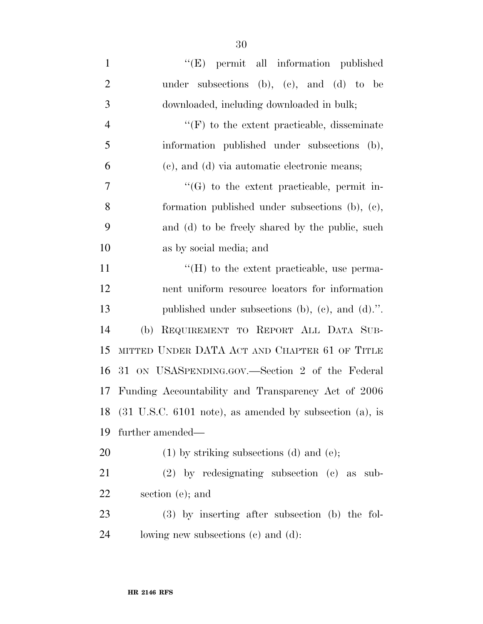| $\mathbf{1}$   | "(E) permit all information published                      |
|----------------|------------------------------------------------------------|
| $\overline{2}$ | under subsections (b), (c), and (d) to be                  |
| 3              | downloaded, including downloaded in bulk;                  |
| $\overline{4}$ | $\lq\lq(F)$ to the extent practicable, disseminate         |
| 5              | information published under subsections (b),               |
| 6              | (c), and (d) via automatic electronic means;               |
| 7              | $\lq\lq(G)$ to the extent practicable, permit in-          |
| 8              | formation published under subsections (b), (c),            |
| 9              | and (d) to be freely shared by the public, such            |
| 10             | as by social media; and                                    |
| 11             | $\rm{``(H)}$ to the extent practicable, use perma-         |
| 12             | nent uniform resource locators for information             |
| 13             | published under subsections (b), (c), and (d).".           |
| 14             | REQUIREMENT TO REPORT ALL DATA SUB-<br>(b)                 |
| 15             | MITTED UNDER DATA ACT AND CHAPTER 61 OF TITLE              |
| 16             | 31 ON USASPENDING.GOV.—Section 2 of the Federal            |
| 17             | Funding Accountability and Transparency Act of 2006        |
|                | 18 (31 U.S.C. 6101 note), as amended by subsection (a), is |
| 19             | further amended—                                           |
| 20             | $(1)$ by striking subsections $(d)$ and $(e)$ ;            |
| 21             | $(2)$ by redesignating subsection $(e)$ as sub-            |
| 22             | section (e); and                                           |
| 23             | $(3)$ by inserting after subsection (b) the fol-           |
| 24             | lowing new subsections (c) and (d):                        |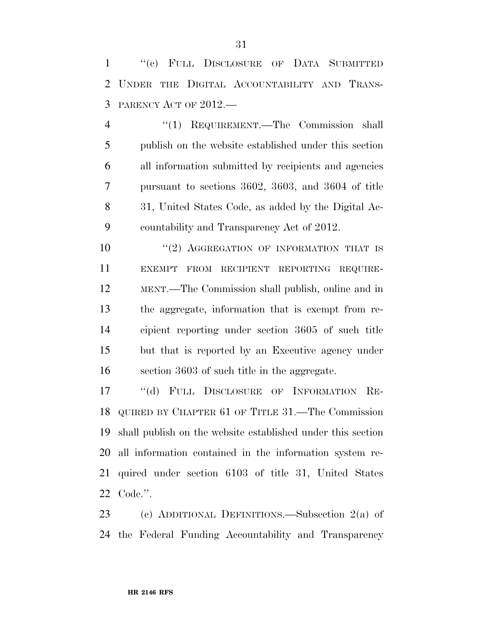''(c) FULL DISCLOSURE OF DATA SUBMITTED UNDER THE DIGITAL ACCOUNTABILITY AND TRANS-PARENCY ACT OF 2012.—

 ''(1) REQUIREMENT.—The Commission shall publish on the website established under this section all information submitted by recipients and agencies pursuant to sections 3602, 3603, and 3604 of title 31, United States Code, as added by the Digital Ac-countability and Transparency Act of 2012.

10 ''(2) AGGREGATION OF INFORMATION THAT IS EXEMPT FROM RECIPIENT REPORTING REQUIRE- MENT.—The Commission shall publish, online and in the aggregate, information that is exempt from re- cipient reporting under section 3605 of such title but that is reported by an Executive agency under section 3603 of such title in the aggregate.

17 "(d) FULL DISCLOSURE OF INFORMATION RE- QUIRED BY CHAPTER 61 OF TITLE 31.—The Commission shall publish on the website established under this section all information contained in the information system re- quired under section 6103 of title 31, United States Code.''.

 (c) ADDITIONAL DEFINITIONS.—Subsection 2(a) of the Federal Funding Accountability and Transparency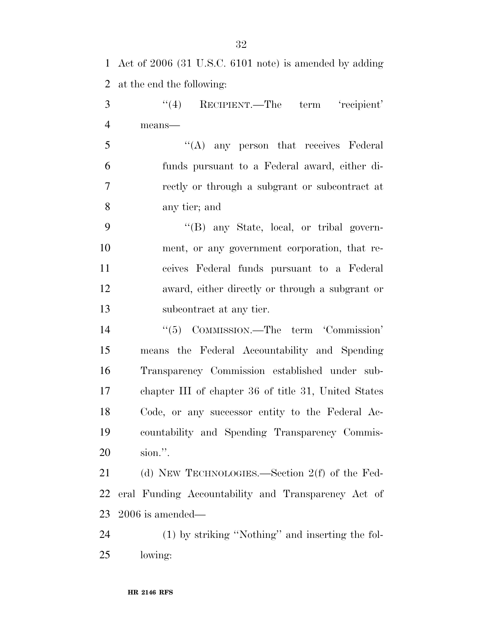| 1              | Act of $2006$ (31 U.S.C. 6101 note) is amended by adding |
|----------------|----------------------------------------------------------|
| $\overline{2}$ | at the end the following:                                |
| 3              | (4)<br>RECIPIENT.—The term 'recipient'                   |
| $\overline{4}$ | means-                                                   |
| 5              | $\lq\lq$ any person that receives Federal                |
| 6              | funds pursuant to a Federal award, either di-            |
| 7              | rectly or through a subgrant or subcontract at           |
| 8              | any tier; and                                            |
| 9              | "(B) any State, local, or tribal govern-                 |
| 10             | ment, or any government corporation, that re-            |
| 11             | ceives Federal funds pursuant to a Federal               |
| 12             | award, either directly or through a subgrant or          |
| 13             | subcontract at any tier.                                 |
| 14             | "(5) COMMISSION.—The term 'Commission'                   |
| 15             | means the Federal Accountability and Spending            |
| 16             | Transparency Commission established under sub-           |
| 17             | chapter III of chapter 36 of title 31, United States     |
| 18             | Code, or any successor entity to the Federal Ac-         |
| 19             | countability and Spending Transparency Commis-           |
| 20             | sion.".                                                  |
| 21             | (d) NEW TECHNOLOGIES.—Section $2(f)$ of the Fed-         |
| 22             | eral Funding Accountability and Transparency Act of      |
| 23             | $2006$ is amended—                                       |
| 24             | (1) by striking "Nothing" and inserting the fol-         |
| 25             | lowing:                                                  |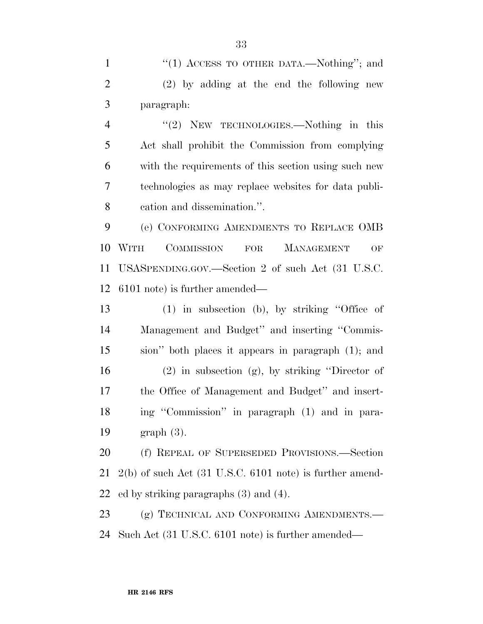1 "(1) ACCESS TO OTHER DATA.—Nothing"; and (2) by adding at the end the following new paragraph:

4 "(2) NEW TECHNOLOGIES.—Nothing in this Act shall prohibit the Commission from complying with the requirements of this section using such new technologies as may replace websites for data publi-cation and dissemination.''.

 (e) CONFORMING AMENDMENTS TO REPLACE OMB WITH COMMISSION FOR MANAGEMENT OF USASPENDING.GOV.—Section 2 of such Act (31 U.S.C. 6101 note) is further amended—

 (1) in subsection (b), by striking ''Office of Management and Budget'' and inserting ''Commis- sion'' both places it appears in paragraph (1); and (2) in subsection (g), by striking ''Director of the Office of Management and Budget'' and insert- ing ''Commission'' in paragraph (1) and in para-graph (3).

 (f) REPEAL OF SUPERSEDED PROVISIONS.—Section 2(b) of such Act (31 U.S.C. 6101 note) is further amend-ed by striking paragraphs (3) and (4).

23 (g) TECHNICAL AND CONFORMING AMENDMENTS.— Such Act (31 U.S.C. 6101 note) is further amended—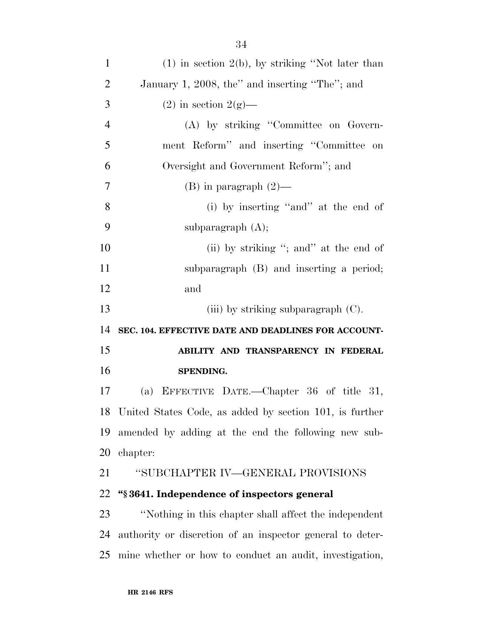| $\mathbf{1}$   | $(1)$ in section 2(b), by striking "Not later than         |
|----------------|------------------------------------------------------------|
| $\overline{c}$ | January 1, 2008, the" and inserting "The"; and             |
| 3              | $(2)$ in section $2(g)$ —                                  |
| $\overline{4}$ | (A) by striking "Committee on Govern-                      |
| 5              | ment Reform" and inserting "Committee on                   |
| 6              | Oversight and Government Reform"; and                      |
| $\overline{7}$ | $(B)$ in paragraph $(2)$ —                                 |
| 8              | (i) by inserting "and" at the end of                       |
| 9              | subparagraph $(A)$ ;                                       |
| 10             | (ii) by striking "; and" at the end of                     |
| 11             | subparagraph (B) and inserting a period;                   |
| 12             | and                                                        |
| 13             | (iii) by striking subparagraph $(C)$ .                     |
| 14             | SEC. 104. EFFECTIVE DATE AND DEADLINES FOR ACCOUNT-        |
| 15             | ABILITY AND TRANSPARENCY IN FEDERAL                        |
| 16             | SPENDING.                                                  |
| 17             | (a) EFFECTIVE DATE.—Chapter $36$ of title $31$ ,           |
|                | 18 United States Code, as added by section 101, is further |
| 19             | amended by adding at the end the following new sub-        |
| 20             | chapter:                                                   |
| 21             | "SUBCHAPTER IV—GENERAL PROVISIONS                          |
| 22             | "§3641. Independence of inspectors general                 |
| 23             | "Nothing in this chapter shall affect the independent      |
| 24             |                                                            |
|                | authority or discretion of an inspector general to deter-  |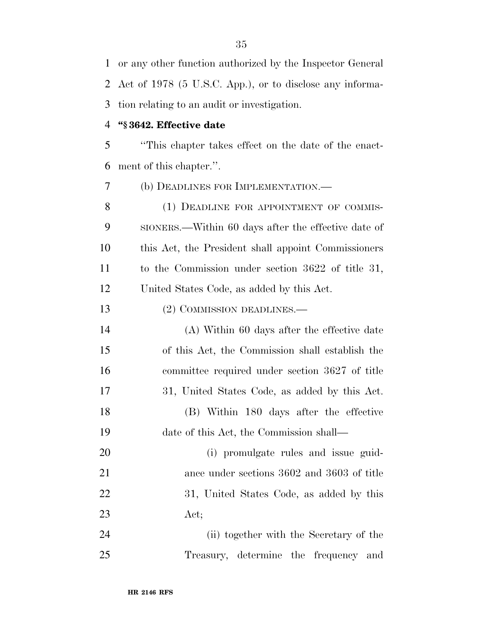or any other function authorized by the Inspector General Act of 1978 (5 U.S.C. App.), or to disclose any informa-tion relating to an audit or investigation.

#### **''§ 3642. Effective date**

 ''This chapter takes effect on the date of the enact-ment of this chapter.''.

(b) DEADLINES FOR IMPLEMENTATION.—

8 (1) DEADLINE FOR APPOINTMENT OF COMMIS- SIONERS.—Within 60 days after the effective date of this Act, the President shall appoint Commissioners to the Commission under section 3622 of title 31, United States Code, as added by this Act.

13 (2) COMMISSION DEADLINES.—

 (A) Within 60 days after the effective date of this Act, the Commission shall establish the committee required under section 3627 of title 31, United States Code, as added by this Act. (B) Within 180 days after the effective date of this Act, the Commission shall—

 (i) promulgate rules and issue guid- ance under sections 3602 and 3603 of title 22 31, United States Code, as added by this Act;

 (ii) together with the Secretary of the Treasury, determine the frequency and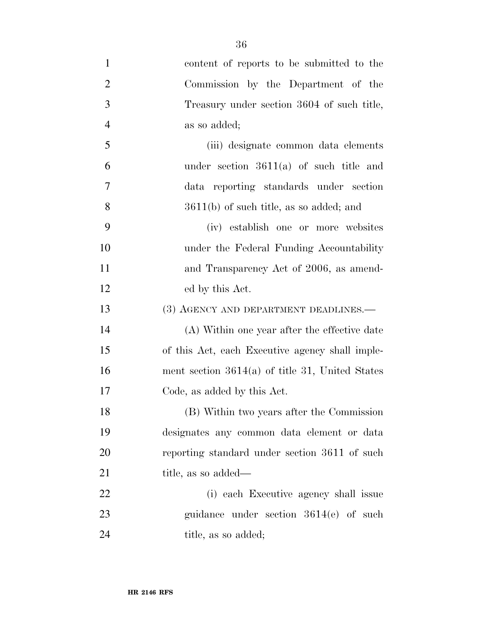content of reports to be submitted to the Commission by the Department of the Treasury under section 3604 of such title, as so added; (iii) designate common data elements under section 3611(a) of such title and data reporting standards under section 3611(b) of such title, as so added; and (iv) establish one or more websites under the Federal Funding Accountability 11 and Transparency Act of 2006, as amend- ed by this Act. 13 (3) AGENCY AND DEPARTMENT DEADLINES.— (A) Within one year after the effective date of this Act, each Executive agency shall imple- ment section 3614(a) of title 31, United States Code, as added by this Act. (B) Within two years after the Commission designates any common data element or data reporting standard under section 3611 of such 21 title, as so added— (i) each Executive agency shall issue guidance under section 3614(e) of such 24 title, as so added;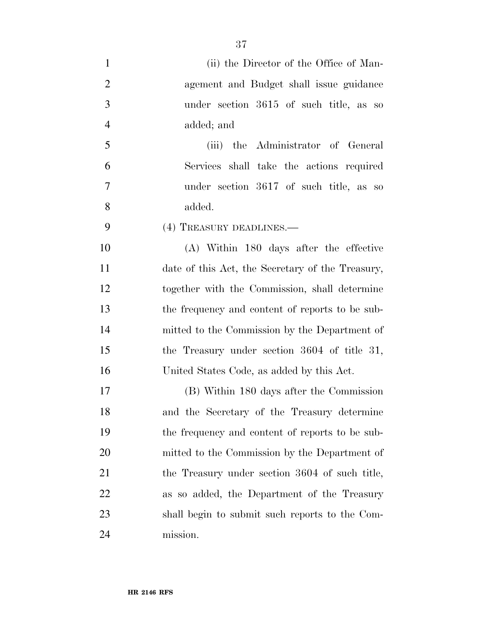| $\mathbf{1}$   | (ii) the Director of the Office of Man-          |
|----------------|--------------------------------------------------|
| $\overline{2}$ | agement and Budget shall issue guidance          |
| 3              | under section 3615 of such title, as so          |
| $\overline{4}$ | added; and                                       |
| 5              | (iii) the Administrator of General               |
| 6              | Services shall take the actions required         |
| $\overline{7}$ | under section 3617 of such title, as so          |
| 8              | added.                                           |
| 9              | (4) TREASURY DEADLINES.                          |
| 10             | (A) Within 180 days after the effective          |
| 11             | date of this Act, the Secretary of the Treasury, |
| 12             | together with the Commission, shall determine    |
| 13             | the frequency and content of reports to be sub-  |
| 14             | mitted to the Commission by the Department of    |
| 15             | the Treasury under section 3604 of title 31,     |
| 16             | United States Code, as added by this Act.        |
| 17             | (B) Within 180 days after the Commission         |
| 18             | and the Secretary of the Treasury determine      |
| 19             | the frequency and content of reports to be sub-  |
| 20             | mitted to the Commission by the Department of    |
| 21             | the Treasury under section 3604 of such title,   |
| 22             | as so added, the Department of the Treasury      |
| 23             | shall begin to submit such reports to the Com-   |
| 24             | mission.                                         |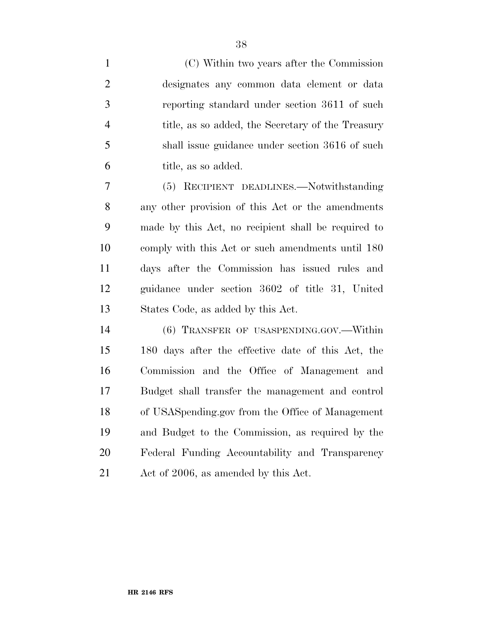(C) Within two years after the Commission designates any common data element or data reporting standard under section 3611 of such title, as so added, the Secretary of the Treasury shall issue guidance under section 3616 of such title, as so added.

 (5) RECIPIENT DEADLINES.—Notwithstanding any other provision of this Act or the amendments made by this Act, no recipient shall be required to comply with this Act or such amendments until 180 days after the Commission has issued rules and guidance under section 3602 of title 31, United States Code, as added by this Act.

 (6) TRANSFER OF USASPENDING.GOV.—Within 180 days after the effective date of this Act, the Commission and the Office of Management and Budget shall transfer the management and control of USASpending.gov from the Office of Management and Budget to the Commission, as required by the Federal Funding Accountability and Transparency Act of 2006, as amended by this Act.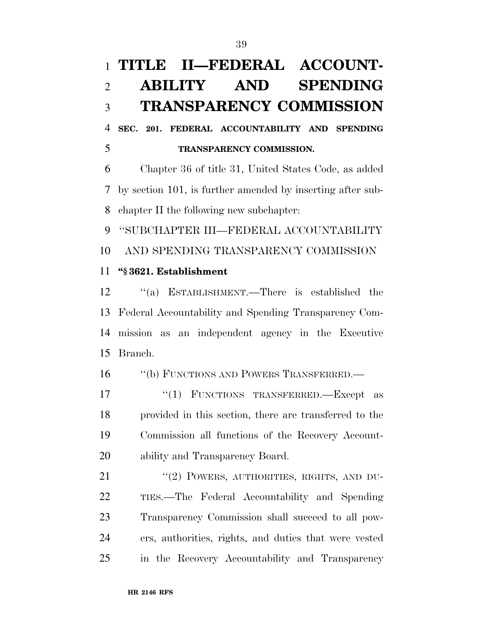# **TITLE II—FEDERAL ACCOUNT- ABILITY AND SPENDING TRANSPARENCY COMMISSION**

 **SEC. 201. FEDERAL ACCOUNTABILITY AND SPENDING TRANSPARENCY COMMISSION.** 

 Chapter 36 of title 31, United States Code, as added by section 101, is further amended by inserting after sub-chapter II the following new subchapter:

 ''SUBCHAPTER III—FEDERAL ACCOUNTABILITY AND SPENDING TRANSPARENCY COMMISSION

### **''§ 3621. Establishment**

 ''(a) ESTABLISHMENT.—There is established the Federal Accountability and Spending Transparency Com- mission as an independent agency in the Executive Branch.

''(b) FUNCTIONS AND POWERS TRANSFERRED.—

17 "(1) FUNCTIONS TRANSFERRED. Except as provided in this section, there are transferred to the Commission all functions of the Recovery Account-ability and Transparency Board.

21 "(2) POWERS, AUTHORITIES, RIGHTS, AND DU- TIES.—The Federal Accountability and Spending Transparency Commission shall succeed to all pow- ers, authorities, rights, and duties that were vested in the Recovery Accountability and Transparency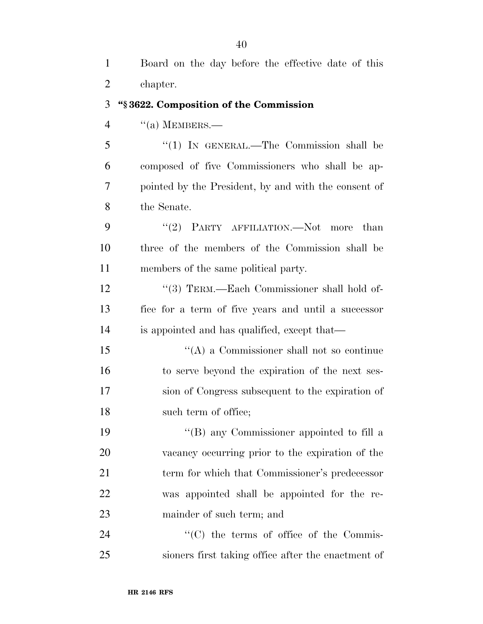Board on the day before the effective date of this chapter.

#### **''§ 3622. Composition of the Commission**

"(a) MEMBERS.—

 ''(1) IN GENERAL.—The Commission shall be composed of five Commissioners who shall be ap- pointed by the President, by and with the consent of the Senate.

9 "(2) PARTY AFFILIATION.—Not more than three of the members of the Commission shall be members of the same political party.

12 "(3) TERM.—Each Commissioner shall hold of- fice for a term of five years and until a successor is appointed and has qualified, except that—

 ''(A) a Commissioner shall not so continue to serve beyond the expiration of the next ses- sion of Congress subsequent to the expiration of 18 such term of office;

 ''(B) any Commissioner appointed to fill a vacancy occurring prior to the expiration of the term for which that Commissioner's predecessor was appointed shall be appointed for the re-mainder of such term; and

24  $\cdot$  (C) the terms of office of the Commis-sioners first taking office after the enactment of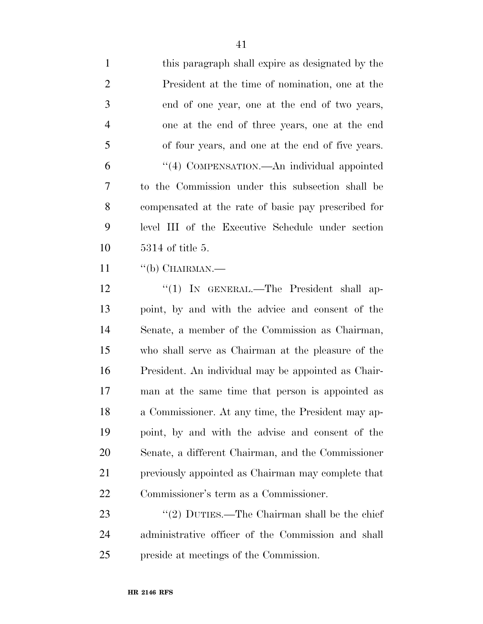| $\mathbf{1}$   | this paragraph shall expire as designated by the    |
|----------------|-----------------------------------------------------|
| 2              | President at the time of nomination, one at the     |
| 3              | end of one year, one at the end of two years,       |
| $\overline{4}$ | one at the end of three years, one at the end       |
| 5              | of four years, and one at the end of five years.    |
| 6              | "(4) COMPENSATION.—An individual appointed          |
| 7              | to the Commission under this subsection shall be    |
| 8              | compensated at the rate of basic pay prescribed for |
| 9              | level III of the Executive Schedule under section   |
| 10             | $5314$ of title 5.                                  |
| 11             | "(b) CHAIRMAN.—                                     |
| 12             | "(1) IN GENERAL.—The President shall ap-            |
| 13             | point, by and with the advice and consent of the    |

 point, by and with the advice and consent of the Senate, a member of the Commission as Chairman, who shall serve as Chairman at the pleasure of the President. An individual may be appointed as Chair- man at the same time that person is appointed as a Commissioner. At any time, the President may ap- point, by and with the advise and consent of the Senate, a different Chairman, and the Commissioner previously appointed as Chairman may complete that Commissioner's term as a Commissioner.

23 ''(2) DUTIES.—The Chairman shall be the chief administrative officer of the Commission and shall preside at meetings of the Commission.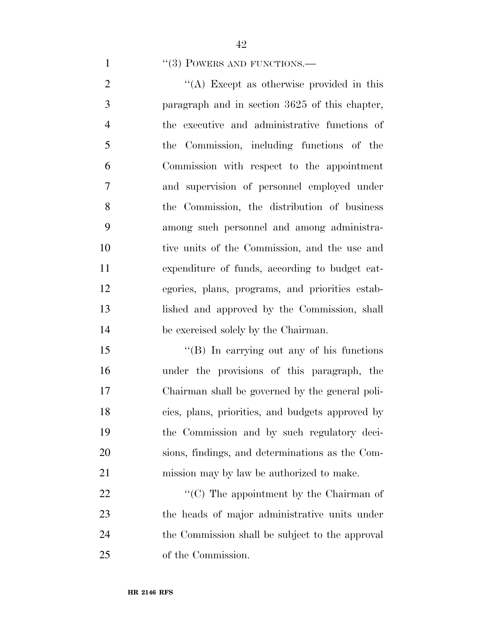1 "(3) POWERS AND FUNCTIONS.—

2 ''(A) Except as otherwise provided in this paragraph and in section 3625 of this chapter, the executive and administrative functions of the Commission, including functions of the Commission with respect to the appointment and supervision of personnel employed under the Commission, the distribution of business among such personnel and among administra- tive units of the Commission, and the use and expenditure of funds, according to budget cat- egories, plans, programs, and priorities estab- lished and approved by the Commission, shall be exercised solely by the Chairman.

15 "(B) In carrying out any of his functions under the provisions of this paragraph, the Chairman shall be governed by the general poli- cies, plans, priorities, and budgets approved by the Commission and by such regulatory deci- sions, findings, and determinations as the Com-mission may by law be authorized to make.

 $\bullet$  (C) The appointment by the Chairman of the heads of major administrative units under the Commission shall be subject to the approval of the Commission.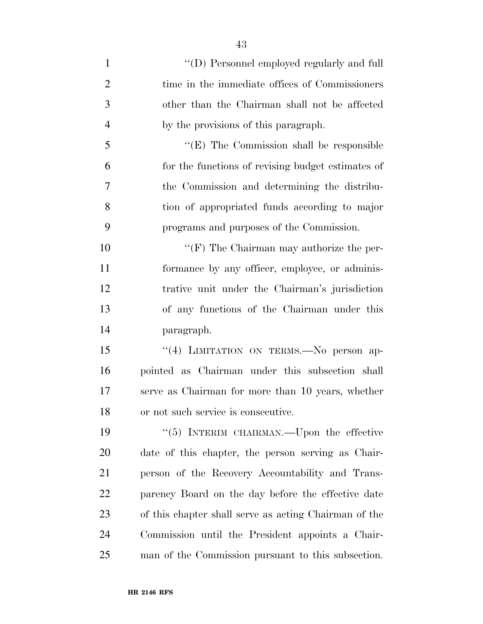| $\mathbf{1}$   | "(D) Personnel employed regularly and full            |
|----------------|-------------------------------------------------------|
| $\overline{2}$ | time in the immediate offices of Commissioners        |
| 3              | other than the Chairman shall not be affected         |
| $\overline{4}$ | by the provisions of this paragraph.                  |
| 5              | $\lq\lq$ (E) The Commission shall be responsible      |
| 6              | for the functions of revising budget estimates of     |
| $\overline{7}$ | the Commission and determining the distribu-          |
| 8              | tion of appropriated funds according to major         |
| 9              | programs and purposes of the Commission.              |
| 10             | " $(F)$ The Chairman may authorize the per-           |
| 11             | formance by any officer, employee, or adminis-        |
| 12             | trative unit under the Chairman's jurisdiction        |
| 13             | of any functions of the Chairman under this           |
| 14             | paragraph.                                            |
| 15             | "(4) LIMITATION ON TERMS. No person ap-               |
| 16             | pointed as Chairman under this subsection shall       |
| 17             | serve as Chairman for more than 10 years, whether     |
| 18             | or not such service is consecutive.                   |
| 19             | " $(5)$ INTERIM CHAIRMAN.—Upon the effective          |
| 20             | date of this chapter, the person serving as Chair-    |
| 21             | person of the Recovery Accountability and Trans-      |
| 22             | parency Board on the day before the effective date    |
| 23             | of this chapter shall serve as acting Chairman of the |
| 24             | Commission until the President appoints a Chair-      |
| 25             | man of the Commission pursuant to this subsection.    |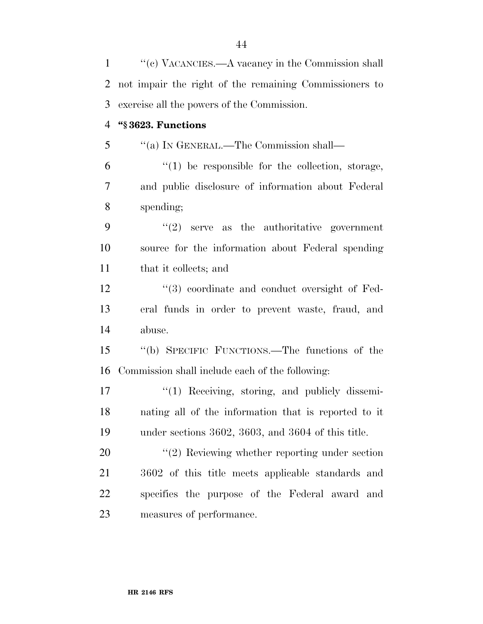1 ''(c) VACANCIES.—A vacancy in the Commission shall not impair the right of the remaining Commissioners to exercise all the powers of the Commission. **''§ 3623. Functions**  ''(a) IN GENERAL.—The Commission shall—  $(1)$  be responsible for the collection, storage, and public disclosure of information about Federal spending;  $(2)$  serve as the authoritative government source for the information about Federal spending that it collects; and 12 ''(3) coordinate and conduct oversight of Fed- eral funds in order to prevent waste, fraud, and abuse. ''(b) SPECIFIC FUNCTIONS.—The functions of the Commission shall include each of the following: 17 ''(1) Receiving, storing, and publicly dissemi- nating all of the information that is reported to it under sections 3602, 3603, and 3604 of this title.  $\frac{u(2)}{2}$  Reviewing whether reporting under section 3602 of this title meets applicable standards and specifies the purpose of the Federal award and measures of performance.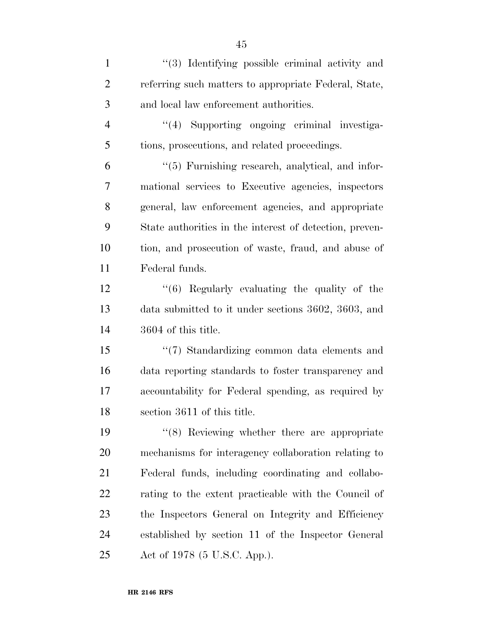1 ''(3) Identifying possible criminal activity and referring such matters to appropriate Federal, State, and local law enforcement authorities. 4 "(4) Supporting ongoing criminal investiga- tions, prosecutions, and related proceedings. ''(5) Furnishing research, analytical, and infor- mational services to Executive agencies, inspectors general, law enforcement agencies, and appropriate State authorities in the interest of detection, preven- tion, and prosecution of waste, fraud, and abuse of Federal funds. ''(6) Regularly evaluating the quality of the data submitted to it under sections 3602, 3603, and

3604 of this title.

 ''(7) Standardizing common data elements and data reporting standards to foster transparency and accountability for Federal spending, as required by section 3611 of this title.

 ''(8) Reviewing whether there are appropriate mechanisms for interagency collaboration relating to Federal funds, including coordinating and collabo- rating to the extent practicable with the Council of the Inspectors General on Integrity and Efficiency established by section 11 of the Inspector General Act of 1978 (5 U.S.C. App.).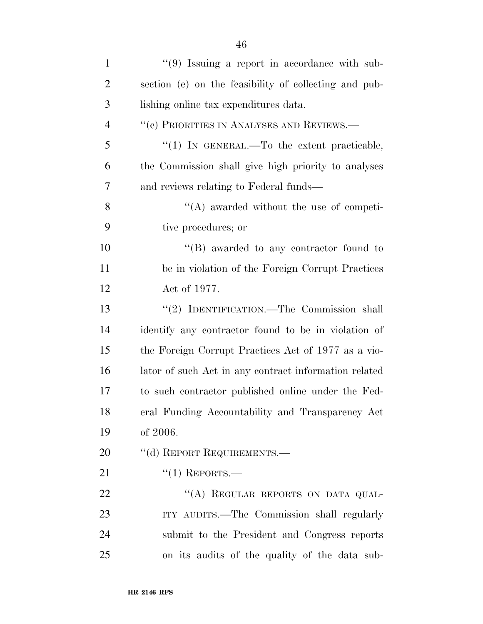| $\mathbf{1}$   | $(9)$ Issuing a report in accordance with sub-        |
|----------------|-------------------------------------------------------|
| $\overline{2}$ | section (e) on the feasibility of collecting and pub- |
| 3              | lishing online tax expenditures data.                 |
| $\overline{4}$ | "(c) PRIORITIES IN ANALYSES AND REVIEWS.—             |
| 5              | "(1) IN GENERAL.—To the extent practicable,           |
| 6              | the Commission shall give high priority to analyses   |
| 7              | and reviews relating to Federal funds—                |
| 8              | $\lq\lq$ awarded without the use of competi-          |
| 9              | tive procedures; or                                   |
| 10             | $\lq\lq (B)$ awarded to any contractor found to       |
| 11             | be in violation of the Foreign Corrupt Practices      |
| 12             | Act of 1977.                                          |
| 13             | "(2) IDENTIFICATION.—The Commission shall             |
| 14             | identify any contractor found to be in violation of   |
| 15             | the Foreign Corrupt Practices Act of 1977 as a vio-   |
| 16             | lator of such Act in any contract information related |
| 17             | to such contractor published online under the Fed-    |
| 18             | eral Funding Accountability and Transparency Act      |
| 19             | of 2006.                                              |
| 20             | "(d) REPORT REQUIREMENTS.—                            |
| 21             | $``(1)$ REPORTS.—                                     |
| 22             | "(A) REGULAR REPORTS ON DATA QUAL-                    |
| 23             | ITY AUDITS.—The Commission shall regularly            |
| 24             | submit to the President and Congress reports          |
| 25             | on its audits of the quality of the data sub-         |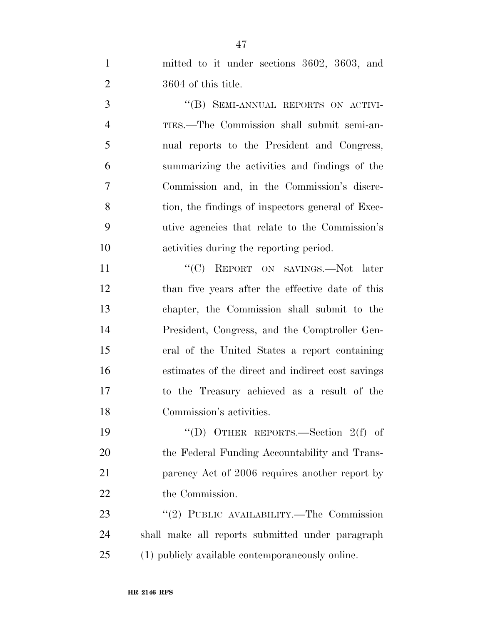mitted to it under sections 3602, 3603, and 3604 of this title.

3 "(B) SEMI-ANNUAL REPORTS ON ACTIVI- TIES.—The Commission shall submit semi-an- nual reports to the President and Congress, summarizing the activities and findings of the Commission and, in the Commission's discre-8 tion, the findings of inspectors general of Exec- utive agencies that relate to the Commission's activities during the reporting period.

11 "'(C) REPORT ON SAVINGS.—Not later than five years after the effective date of this chapter, the Commission shall submit to the President, Congress, and the Comptroller Gen- eral of the United States a report containing estimates of the direct and indirect cost savings to the Treasury achieved as a result of the Commission's activities.

 ''(D) OTHER REPORTS.—Section 2(f) of the Federal Funding Accountability and Trans-**parency** Act of 2006 requires another report by 22 the Commission.

23 "(2) PUBLIC AVAILABILITY.—The Commission shall make all reports submitted under paragraph (1) publicly available contemporaneously online.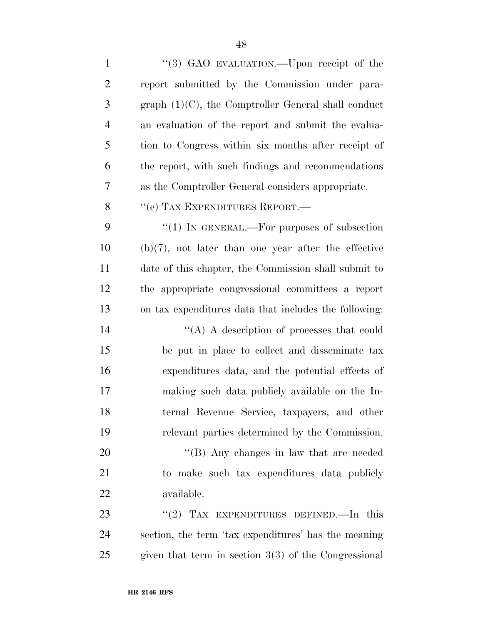| $\mathbf{1}$   | "(3) GAO EVALUATION.—Upon receipt of the               |
|----------------|--------------------------------------------------------|
| $\overline{2}$ | report submitted by the Commission under para-         |
| 3              | graph $(1)(C)$ , the Comptroller General shall conduct |
| $\overline{4}$ | an evaluation of the report and submit the evalua-     |
| 5              | tion to Congress within six months after receipt of    |
| 6              | the report, with such findings and recommendations     |
| 7              | as the Comptroller General considers appropriate.      |
| 8              | "(e) TAX EXPENDITURES REPORT.-                         |
| 9              | "(1) IN GENERAL.—For purposes of subsection            |
| 10             | $(b)(7)$ , not later than one year after the effective |
| 11             | date of this chapter, the Commission shall submit to   |
| 12             | the appropriate congressional committees a report      |
| 13             | on tax expenditures data that includes the following:  |
| 14             | "(A) A description of processes that could             |
| 15             | be put in place to collect and disseminate tax         |
| 16             | expenditures data, and the potential effects of        |
| 17             | making such data publicly available on the In-         |
| 18             | ternal Revenue Service, taxpayers, and other           |
| 19             | relevant parties determined by the Commission.         |
| 20             | $\lq\lq$ (B) Any changes in law that are needed        |
| 21             | to make such tax expenditures data publicly            |
| 22             | available.                                             |
| 23             | "(2) TAX EXPENDITURES DEFINED.—In this                 |
| 24             | section, the term 'tax expenditures' has the meaning   |
| 25             | given that term in section $3(3)$ of the Congressional |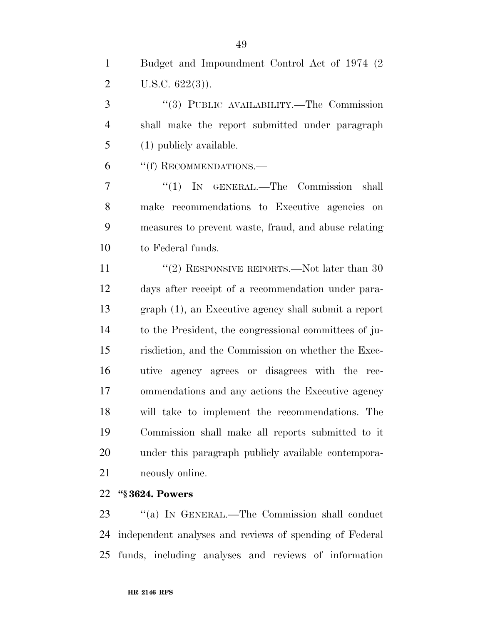Budget and Impoundment Control Act of 1974 (2 2 U.S.C.  $622(3)$ ).

 ''(3) PUBLIC AVAILABILITY.—The Commission shall make the report submitted under paragraph (1) publicly available.

6 "(f) RECOMMENDATIONS.—

7 "(1) IN GENERAL.—The Commission shall make recommendations to Executive agencies on measures to prevent waste, fraud, and abuse relating to Federal funds.

11 ''(2) RESPONSIVE REPORTS.—Not later than 30 days after receipt of a recommendation under para- graph (1), an Executive agency shall submit a report to the President, the congressional committees of ju- risdiction, and the Commission on whether the Exec- utive agency agrees or disagrees with the rec- ommendations and any actions the Executive agency will take to implement the recommendations. The Commission shall make all reports submitted to it under this paragraph publicly available contempora-neously online.

### **''§ 3624. Powers**

23 "(a) IN GENERAL.—The Commission shall conduct independent analyses and reviews of spending of Federal funds, including analyses and reviews of information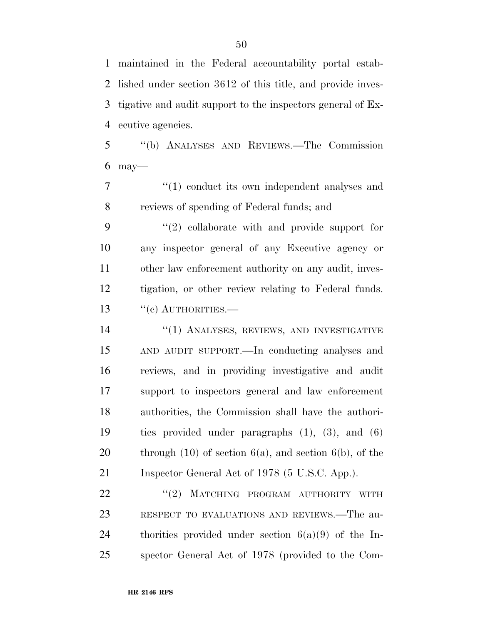maintained in the Federal accountability portal estab- lished under section 3612 of this title, and provide inves- tigative and audit support to the inspectors general of Ex-ecutive agencies.

 ''(b) ANALYSES AND REVIEWS.—The Commission may—

7  $\frac{1}{1}$  conduct its own independent analyses and reviews of spending of Federal funds; and

 ''(2) collaborate with and provide support for any inspector general of any Executive agency or other law enforcement authority on any audit, inves- tigation, or other review relating to Federal funds. 13 "(c) AUTHORITIES.—

14 "(1) ANALYSES, REVIEWS, AND INVESTIGATIVE AND AUDIT SUPPORT.—In conducting analyses and reviews, and in providing investigative and audit support to inspectors general and law enforcement authorities, the Commission shall have the authori- ties provided under paragraphs (1), (3), and (6) 20 through  $(10)$  of section  $6(a)$ , and section  $6(b)$ , of the 21 Inspector General Act of 1978 (5 U.S.C. App.).

22 "(2) MATCHING PROGRAM AUTHORITY WITH RESPECT TO EVALUATIONS AND REVIEWS.—The au- thorities provided under section 6(a)(9) of the In-spector General Act of 1978 (provided to the Com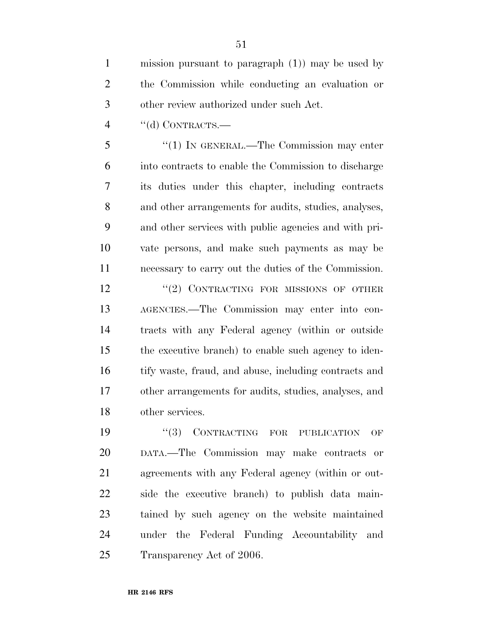mission pursuant to paragraph (1)) may be used by the Commission while conducting an evaluation or other review authorized under such Act.

''(d) CONTRACTS.—

 ''(1) IN GENERAL.—The Commission may enter into contracts to enable the Commission to discharge its duties under this chapter, including contracts and other arrangements for audits, studies, analyses, and other services with public agencies and with pri- vate persons, and make such payments as may be necessary to carry out the duties of the Commission.

12 "(2) CONTRACTING FOR MISSIONS OF OTHER AGENCIES.—The Commission may enter into con- tracts with any Federal agency (within or outside the executive branch) to enable such agency to iden- tify waste, fraud, and abuse, including contracts and other arrangements for audits, studies, analyses, and other services.

 $(3)$  CONTRACTING FOR PUBLICATION OF DATA.—The Commission may make contracts or agreements with any Federal agency (within or out- side the executive branch) to publish data main- tained by such agency on the website maintained under the Federal Funding Accountability and Transparency Act of 2006.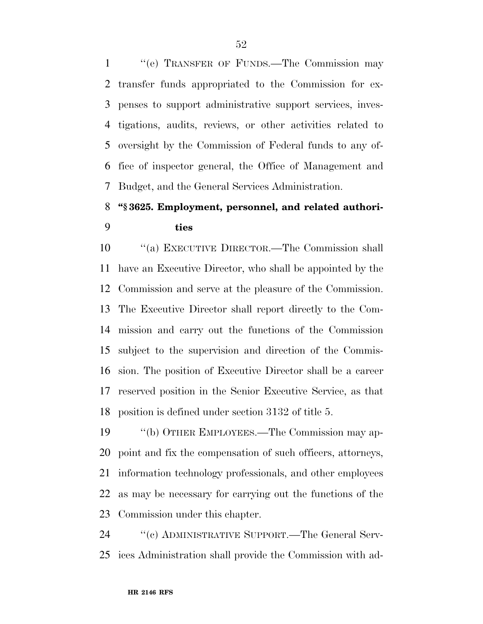''(e) TRANSFER OF FUNDS.—The Commission may transfer funds appropriated to the Commission for ex- penses to support administrative support services, inves- tigations, audits, reviews, or other activities related to oversight by the Commission of Federal funds to any of- fice of inspector general, the Office of Management and Budget, and the General Services Administration.

## **''§ 3625. Employment, personnel, and related authori-ties**

 ''(a) EXECUTIVE DIRECTOR.—The Commission shall have an Executive Director, who shall be appointed by the Commission and serve at the pleasure of the Commission. The Executive Director shall report directly to the Com- mission and carry out the functions of the Commission subject to the supervision and direction of the Commis- sion. The position of Executive Director shall be a career reserved position in the Senior Executive Service, as that position is defined under section 3132 of title 5.

 ''(b) OTHER EMPLOYEES.—The Commission may ap- point and fix the compensation of such officers, attorneys, information technology professionals, and other employees as may be necessary for carrying out the functions of the Commission under this chapter.

 ''(c) ADMINISTRATIVE SUPPORT.—The General Serv-ices Administration shall provide the Commission with ad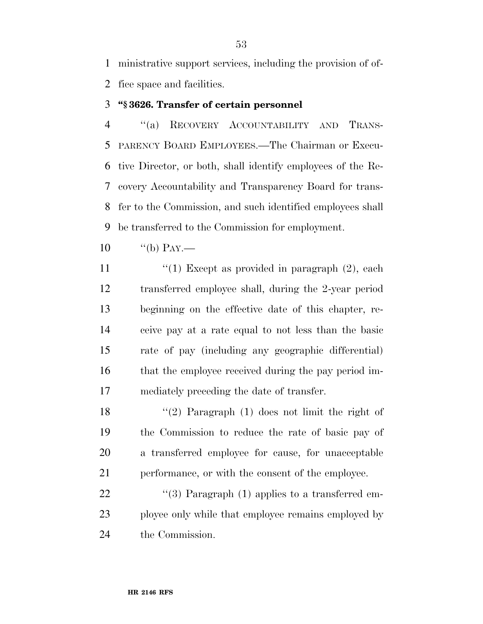ministrative support services, including the provision of of-fice space and facilities.

### **''§ 3626. Transfer of certain personnel**

 ''(a) RECOVERY ACCOUNTABILITY AND TRANS- PARENCY BOARD EMPLOYEES.—The Chairman or Execu- tive Director, or both, shall identify employees of the Re- covery Accountability and Transparency Board for trans- fer to the Commission, and such identified employees shall be transferred to the Commission for employment.

10  $"^{\text{(b)}}$  PAY.—

 $\frac{1}{2}$   $\frac{1}{2}$  Except as provided in paragraph (2), each transferred employee shall, during the 2-year period beginning on the effective date of this chapter, re- ceive pay at a rate equal to not less than the basic rate of pay (including any geographic differential) that the employee received during the pay period im-mediately preceding the date of transfer.

 ''(2) Paragraph (1) does not limit the right of the Commission to reduce the rate of basic pay of a transferred employee for cause, for unacceptable performance, or with the consent of the employee.

22  $\frac{1}{3}$  Paragraph (1) applies to a transferred em- ployee only while that employee remains employed by the Commission.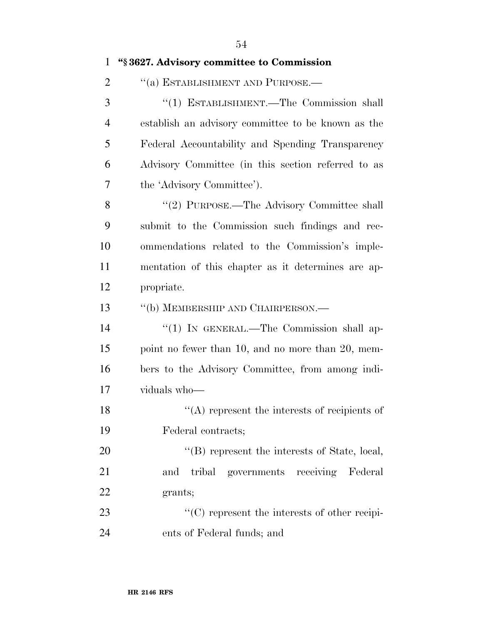| $\mathbf{1}$   | "§3627. Advisory committee to Commission           |
|----------------|----------------------------------------------------|
| $\overline{2}$ | "(a) ESTABLISHMENT AND PURPOSE.—                   |
| 3              | "(1) ESTABLISHMENT.—The Commission shall           |
| $\overline{4}$ | establish an advisory committee to be known as the |
| 5              | Federal Accountability and Spending Transparency   |
| 6              | Advisory Committee (in this section referred to as |
| 7              | the 'Advisory Committee').                         |
| 8              | "(2) PURPOSE.—The Advisory Committee shall         |
| 9              | submit to the Commission such findings and rec-    |
| 10             | ommendations related to the Commission's imple-    |
| 11             | mentation of this chapter as it determines are ap- |
| 12             | propriate.                                         |
| 13             | "(b) MEMBERSHIP AND CHAIRPERSON.—                  |
| 14             | "(1) IN GENERAL.—The Commission shall ap-          |
| 15             | point no fewer than 10, and no more than 20, mem-  |
| 16             | bers to the Advisory Committee, from among indi-   |
| 17             | viduals who-                                       |
| 18             | $\lq\lq$ represent the interests of recipients of  |
| 19             | Federal contracts;                                 |
| 20             | $\lq\lq$ represent the interests of State, local,  |
| 21             | tribal governments receiving Federal<br>and        |
| 22             | grants;                                            |
| 23             | $\lq\lq$ represent the interests of other recipi-  |
| 24             | ents of Federal funds; and                         |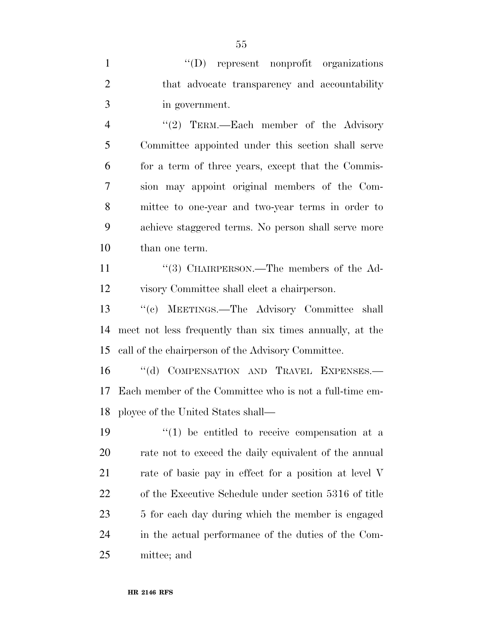| $\mathbf{1}$   | "(D) represent nonprofit organizations                   |
|----------------|----------------------------------------------------------|
| $\overline{2}$ | that advocate transparency and accountability            |
| 3              | in government.                                           |
| $\overline{4}$ | "(2) TERM.—Each member of the Advisory                   |
| 5              | Committee appointed under this section shall serve       |
| 6              | for a term of three years, except that the Commis-       |
| 7              | sion may appoint original members of the Com-            |
| 8              | mittee to one-year and two-year terms in order to        |
| 9              | achieve staggered terms. No person shall serve more      |
| 10             | than one term.                                           |
| 11             | "(3) CHAIRPERSON.—The members of the Ad-                 |
| 12             | visory Committee shall elect a chairperson.              |
| 13             | "(c) MEETINGS.—The Advisory Committee shall              |
| 14             | meet not less frequently than six times annually, at the |
| 15             | call of the chairperson of the Advisory Committee.       |
| 16             | "(d) COMPENSATION AND TRAVEL EXPENSES.-                  |
| 17             | Each member of the Committee who is not a full-time em-  |
| 18             | ployee of the United States shall—                       |
| 19             | $(1)$ be entitled to receive compensation at a           |
| 20             | rate not to exceed the daily equivalent of the annual    |
| 21             | rate of basic pay in effect for a position at level V    |
| 22             | of the Executive Schedule under section 5316 of title    |
| 23             | 5 for each day during which the member is engaged        |
| 24             | in the actual performance of the duties of the Com-      |
| 25             | mittee; and                                              |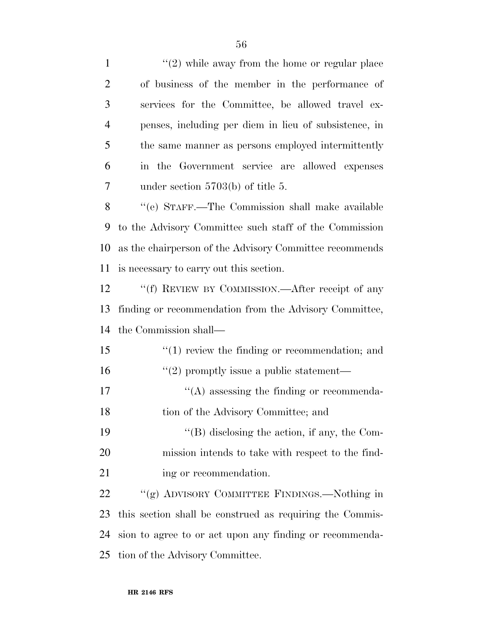| $\mathbf{1}$   | $\lq(2)$ while away from the home or regular place       |
|----------------|----------------------------------------------------------|
| $\overline{2}$ | of business of the member in the performance of          |
| 3              | services for the Committee, be allowed travel ex-        |
| 4              | penses, including per diem in lieu of subsistence, in    |
| 5              | the same manner as persons employed intermittently       |
| 6              | in the Government service are allowed expenses           |
| 7              | under section $5703(b)$ of title 5.                      |
| 8              | "(e) STAFF.—The Commission shall make available          |
| 9              | to the Advisory Committee such staff of the Commission   |
| 10             | as the chairperson of the Advisory Committee recommends  |
| 11             | is necessary to carry out this section.                  |
| 12             | "(f) REVIEW BY COMMISSION.—After receipt of any          |
| 13             | finding or recommendation from the Advisory Committee,   |
| 14             | the Commission shall—                                    |
| 15             | $\lq(1)$ review the finding or recommendation; and       |
| 16             | $\lq(2)$ promptly issue a public statement—              |
| 17             | $\lq\lq$ assessing the finding or recommenda-            |
| 18             | tion of the Advisory Committee; and                      |
| 19             | $\lq\lq$ (B) disclosing the action, if any, the Com-     |
| 20             | mission intends to take with respect to the find-        |
| 21             | ing or recommendation.                                   |
| 22             | "(g) ADVISORY COMMITTEE FINDINGS.—Nothing in             |
| 23             | this section shall be construed as requiring the Commis- |
| 24             | sion to agree to or act upon any finding or recommenda-  |
| 25             | tion of the Advisory Committee.                          |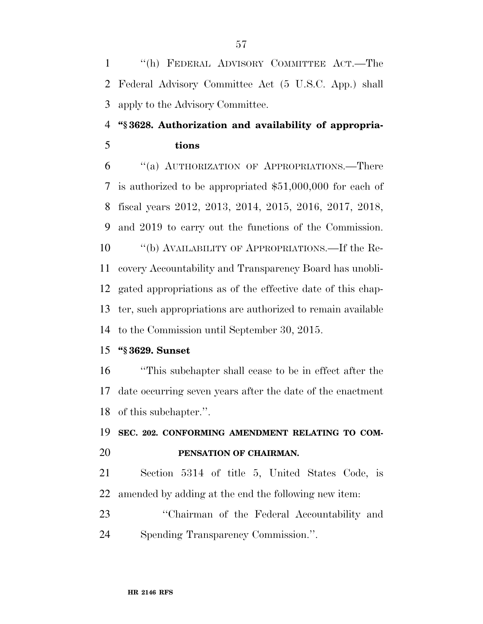''(h) FEDERAL ADVISORY COMMITTEE ACT.—The Federal Advisory Committee Act (5 U.S.C. App.) shall apply to the Advisory Committee.

### **''§ 3628. Authorization and availability of appropria-tions**

 ''(a) AUTHORIZATION OF APPROPRIATIONS.—There is authorized to be appropriated \$51,000,000 for each of fiscal years 2012, 2013, 2014, 2015, 2016, 2017, 2018, and 2019 to carry out the functions of the Commission. ''(b) AVAILABILITY OF APPROPRIATIONS.—If the Re- covery Accountability and Transparency Board has unobli- gated appropriations as of the effective date of this chap- ter, such appropriations are authorized to remain available to the Commission until September 30, 2015.

### **''§ 3629. Sunset**

 ''This subchapter shall cease to be in effect after the date occurring seven years after the date of the enactment of this subchapter.''.

### **SEC. 202. CONFORMING AMENDMENT RELATING TO COM-PENSATION OF CHAIRMAN.**

 Section 5314 of title 5, United States Code, is amended by adding at the end the following new item:

 ''Chairman of the Federal Accountability and Spending Transparency Commission.''.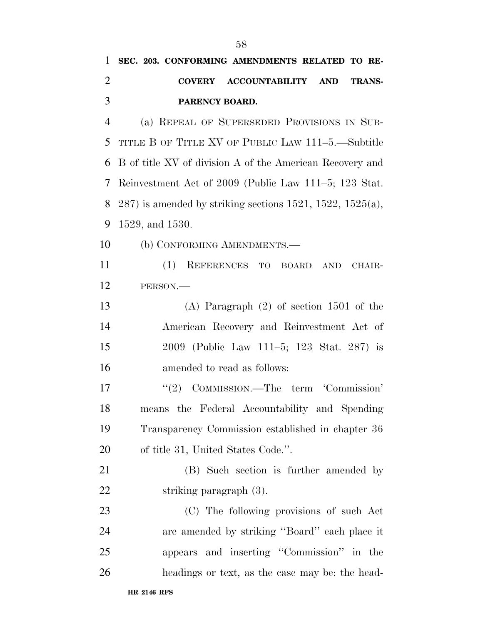**SEC. 203. CONFORMING AMENDMENTS RELATED TO RE-**

**COVERY ACCOUNTABILITY AND TRANS-**

| 3              | PARENCY BOARD.                                               |
|----------------|--------------------------------------------------------------|
| $\overline{4}$ | (a) REPEAL OF SUPERSEDED PROVISIONS IN SUB-                  |
| 5              | TITLE B OF TITLE XV OF PUBLIC LAW 111-5.—Subtitle            |
| 6              | B of title XV of division A of the American Recovery and     |
| 7              | Reinvestment Act of 2009 (Public Law 111–5; 123 Stat.        |
| 8              | $287$ ) is amended by striking sections 1521, 1522, 1525(a), |
| 9              | 1529, and 1530.                                              |
| 10             | (b) CONFORMING AMENDMENTS.—                                  |
| 11             | (1)<br>REFERENCES TO BOARD<br>AND<br>CHAIR-                  |
| 12             | PERSON.                                                      |
| 13             | $(A)$ Paragraph $(2)$ of section 1501 of the                 |
| 14             | American Recovery and Reinvestment Act of                    |
| 15             | 2009 (Public Law 111–5; 123 Stat. 287) is                    |
| 16             | amended to read as follows:                                  |
| 17             | COMMISSION.—The term 'Commission'<br>(2)                     |
| 18             | means the Federal Accountability and Spending                |
| 19             | Transparency Commission established in chapter 36            |
| 20             | of title 31, United States Code.".                           |
| 21             | (B) Such section is further amended by                       |
| 22             | striking paragraph (3).                                      |
| 23             | (C) The following provisions of such Act                     |
| 24             | are amended by striking "Board" each place it                |
| 25             | appears and inserting "Commission" in the                    |
| 26             | headings or text, as the case may be: the head-              |
|                | <b>HR 2146 RFS</b>                                           |
|                |                                                              |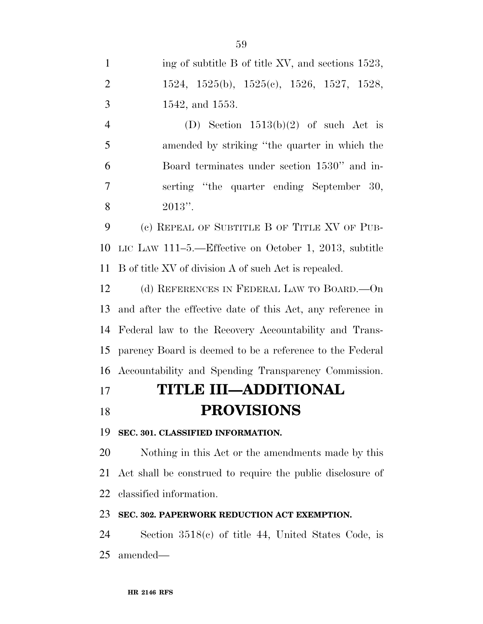| $\mathbf{1}$   | ing of subtitle B of title XV, and sections 1523,          |
|----------------|------------------------------------------------------------|
| $\overline{2}$ | $1524, 1525(b), 1525(c), 1526, 1527, 1528,$                |
| 3              | 1542, and 1553.                                            |
| $\overline{4}$ | (D) Section $1513(b)(2)$ of such Act is                    |
| 5              | amended by striking "the quarter in which the              |
| 6              | Board terminates under section 1530" and in-               |
| 7              | serting "the quarter ending September 30,                  |
| 8              | $2013"$ .                                                  |
| 9              | (c) REPEAL OF SUBTITLE B OF TITLE XV OF PUB-               |
| 10             | LIC LAW $111-5$ .—Effective on October 1, 2013, subtitle   |
| 11             | B of title XV of division A of such Act is repealed.       |
| 12             | (d) REFERENCES IN FEDERAL LAW TO BOARD.—On                 |
| 13             | and after the effective date of this Act, any reference in |
| 14             | Federal law to the Recovery Accountability and Trans-      |
| 15             | parency Board is deemed to be a reference to the Federal   |
| 16             | Accountability and Spending Transparency Commission.       |
| 17             | <b>TITLE III—ADDITIONAL</b>                                |
| 18             | <b>PROVISIONS</b>                                          |
| 19             | SEC. 301. CLASSIFIED INFORMATION.                          |
| 20             | Nothing in this Act or the amendments made by this         |
| 21             | Act shall be construed to require the public disclosure of |
| 22             | classified information.                                    |
| 23             | SEC. 302. PAPERWORK REDUCTION ACT EXEMPTION.               |

 Section 3518(c) of title 44, United States Code, is amended—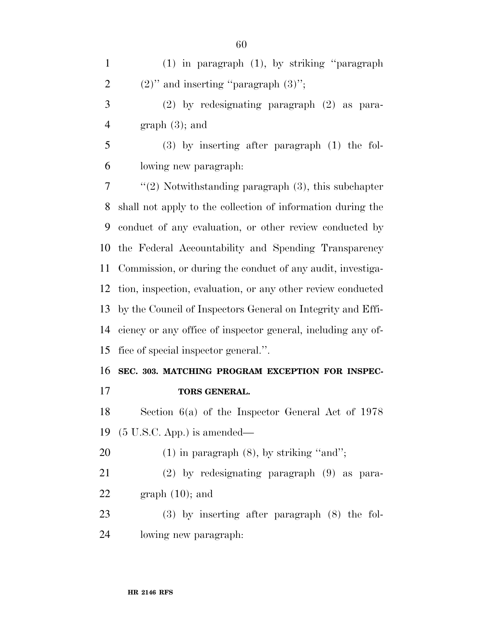(1) in paragraph (1), by striking ''paragraph 2 (2)'' and inserting "paragraph  $(3)$ "; (2) by redesignating paragraph (2) as para-4 graph  $(3)$ ; and (3) by inserting after paragraph (1) the fol- lowing new paragraph: ''(2) Notwithstanding paragraph (3), this subchapter shall not apply to the collection of information during the conduct of any evaluation, or other review conducted by the Federal Accountability and Spending Transparency Commission, or during the conduct of any audit, investiga- tion, inspection, evaluation, or any other review conducted by the Council of Inspectors General on Integrity and Effi- ciency or any office of inspector general, including any of- fice of special inspector general.''. **SEC. 303. MATCHING PROGRAM EXCEPTION FOR INSPEC- TORS GENERAL.**  Section 6(a) of the Inspector General Act of 1978 (5 U.S.C. App.) is amended—  $(1)$  in paragraph  $(8)$ , by striking "and"; (2) by redesignating paragraph (9) as para-22 graph  $(10)$ ; and (3) by inserting after paragraph (8) the fol-lowing new paragraph: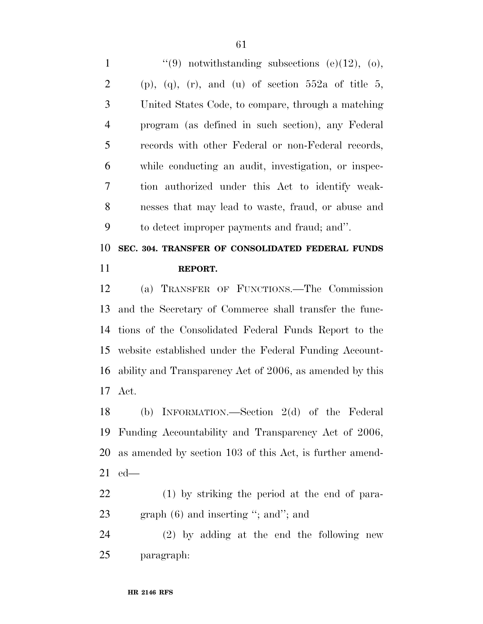| $\mathbf{1}$   | "(9) notwithstanding subsections (e)(12), (o),                |
|----------------|---------------------------------------------------------------|
| $\overline{2}$ | $(p)$ , $(q)$ , $(r)$ , and $(u)$ of section 552a of title 5, |
| 3              | United States Code, to compare, through a matching            |
| $\overline{4}$ | program (as defined in such section), any Federal             |
| 5              | records with other Federal or non-Federal records,            |
| 6              | while conducting an audit, investigation, or inspec-          |
| $\tau$         | tion authorized under this Act to identify weak-              |
| 8              | nesses that may lead to waste, fraud, or abuse and            |
| 9              | to detect improper payments and fraud; and".                  |
| 10             | SEC. 304. TRANSFER OF CONSOLIDATED FEDERAL FUNDS              |
| 11             | REPORT.                                                       |
| 12             | (a) TRANSFER OF FUNCTIONS.—The Commission                     |
| 13             | and the Secretary of Commerce shall transfer the func-        |
| 14             | tions of the Consolidated Federal Funds Report to the         |
|                |                                                               |

 website established under the Federal Funding Account- ability and Transparency Act of 2006, as amended by this Act.

 (b) INFORMATION.—Section 2(d) of the Federal Funding Accountability and Transparency Act of 2006, as amended by section 103 of this Act, is further amend-ed—

 (1) by striking the period at the end of para-23 graph (6) and inserting "; and"; and

 (2) by adding at the end the following new paragraph: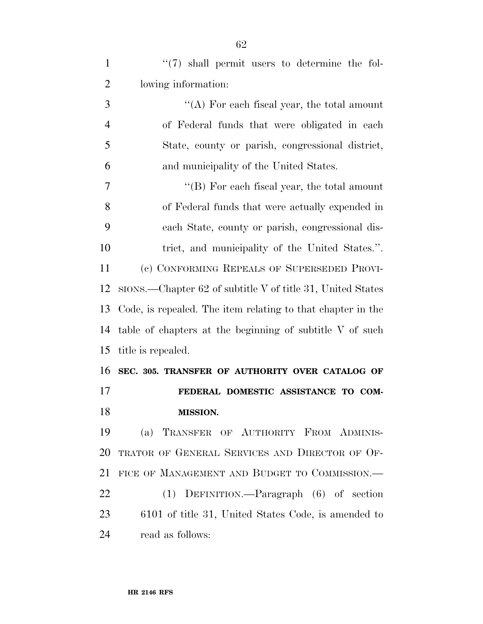1 ''(7) shall permit users to determine the fol-lowing information:

3 ''(A) For each fiscal year, the total amount of Federal funds that were obligated in each State, county or parish, congressional district, and municipality of the United States.

 ''(B) For each fiscal year, the total amount of Federal funds that were actually expended in each State, county or parish, congressional dis- trict, and municipality of the United States.''. (c) CONFORMING REPEALS OF SUPERSEDED PROVI- SIONS.—Chapter 62 of subtitle V of title 31, United States Code, is repealed. The item relating to that chapter in the table of chapters at the beginning of subtitle V of such title is repealed.

 **SEC. 305. TRANSFER OF AUTHORITY OVER CATALOG OF FEDERAL DOMESTIC ASSISTANCE TO COM-MISSION.** 

 (a) TRANSFER OF AUTHORITY FROM ADMINIS- TRATOR OF GENERAL SERVICES AND DIRECTOR OF OF- FICE OF MANAGEMENT AND BUDGET TO COMMISSION.— (1) DEFINITION.—Paragraph (6) of section 6101 of title 31, United States Code, is amended to

read as follows: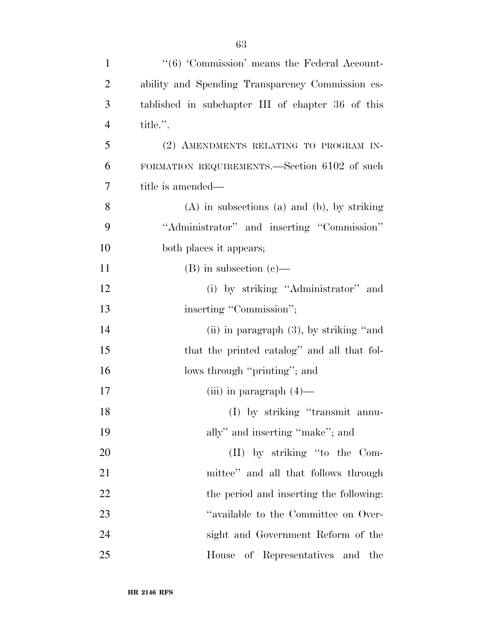| $\mathbf{1}$   | "(6) 'Commission' means the Federal Account-       |
|----------------|----------------------------------------------------|
| $\overline{2}$ | ability and Spending Transparency Commission es-   |
| 3              | tablished in subchapter III of chapter 36 of this  |
| $\overline{4}$ | title.".                                           |
| 5              | (2) AMENDMENTS RELATING TO PROGRAM IN-             |
| 6              | FORMATION REQUIREMENTS.—Section 6102 of such       |
| 7              | title is amended—                                  |
| 8              | $(A)$ in subsections $(a)$ and $(b)$ , by striking |
| 9              | "Administrator" and inserting "Commission"         |
| 10             | both places it appears;                            |
| 11             | $(B)$ in subsection $(e)$ —                        |
| 12             | (i) by striking "Administrator" and                |
| 13             | inserting "Commission";                            |
| 14             | (ii) in paragraph $(3)$ , by striking "and         |
| 15             | that the printed catalog" and all that fol-        |
| 16             | lows through "printing"; and                       |
| 17             | (iii) in paragraph $(4)$ —                         |
| 18             | (I) by striking "transmit annu-                    |
| 19             | ally" and inserting "make"; and                    |
| 20             | (II) by striking "to the Com-                      |
| 21             | mittee" and all that follows through               |
| 22             | the period and inserting the following:            |
| 23             | "available to the Committee on Over-               |
| 24             | sight and Government Reform of the                 |
| 25             | of Representatives and the<br>House                |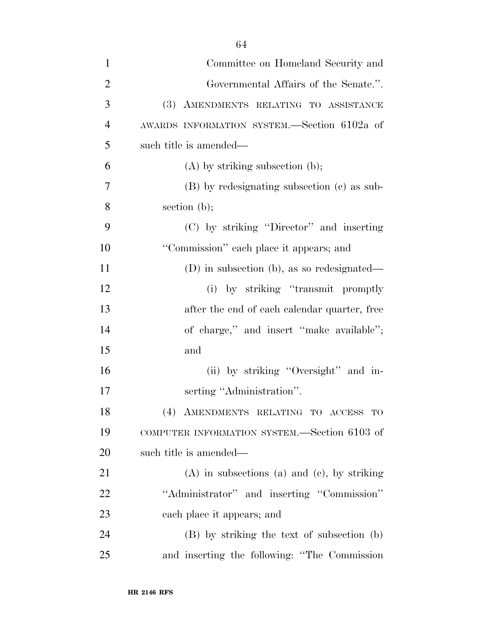| $\mathbf{1}$   | Committee on Homeland Security and                 |
|----------------|----------------------------------------------------|
| $\overline{2}$ | Governmental Affairs of the Senate.".              |
| 3              | (3) AMENDMENTS RELATING TO ASSISTANCE              |
| $\overline{4}$ | AWARDS INFORMATION SYSTEM.—Section 6102a of        |
| 5              | such title is amended—                             |
| 6              | $(A)$ by striking subsection $(b)$ ;               |
| 7              | (B) by redesignating subsection (c) as sub-        |
| 8              | section $(b)$ ;                                    |
| 9              | (C) by striking "Director" and inserting           |
| 10             | "Commission" each place it appears; and            |
| 11             | (D) in subsection (b), as so redesignated—         |
| 12             | (i) by striking "transmit promptly                 |
| 13             | after the end of each calendar quarter, free       |
| 14             | of charge," and insert "make available";           |
| 15             | and                                                |
| 16             | (ii) by striking "Oversight" and in-               |
| 17             | serting "Administration".                          |
| 18             | (4) AMENDMENTS RELATING TO ACCESS TO               |
| 19             | COMPUTER INFORMATION SYSTEM.—Section 6103 of       |
| <b>20</b>      | such title is amended—                             |
| 21             | $(A)$ in subsections $(a)$ and $(c)$ , by striking |
| <u>22</u>      | "Administrator" and inserting "Commission"         |
| 23             | each place it appears; and                         |
| 24             | (B) by striking the text of subsection (b)         |
| 25             | and inserting the following: "The Commission       |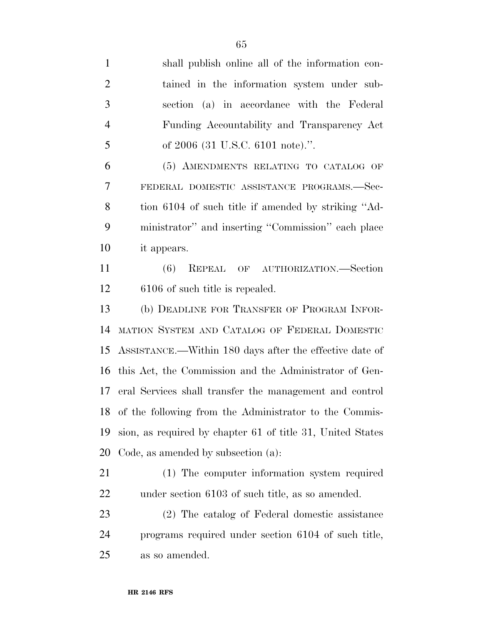shall publish online all of the information con- tained in the information system under sub- section (a) in accordance with the Federal Funding Accountability and Transparency Act 5 of 2006 (31 U.S.C. 6101 note).". (5) AMENDMENTS RELATING TO CATALOG OF FEDERAL DOMESTIC ASSISTANCE PROGRAMS.—Sec- tion 6104 of such title if amended by striking ''Ad- ministrator'' and inserting ''Commission'' each place it appears. (6) REPEAL OF AUTHORIZATION.—Section 6106 of such title is repealed. (b) DEADLINE FOR TRANSFER OF PROGRAM INFOR- MATION SYSTEM AND CATALOG OF FEDERAL DOMESTIC ASSISTANCE.—Within 180 days after the effective date of this Act, the Commission and the Administrator of Gen- eral Services shall transfer the management and control of the following from the Administrator to the Commis- sion, as required by chapter 61 of title 31, United States Code, as amended by subsection (a): (1) The computer information system required under section 6103 of such title, as so amended. (2) The catalog of Federal domestic assistance programs required under section 6104 of such title, as so amended.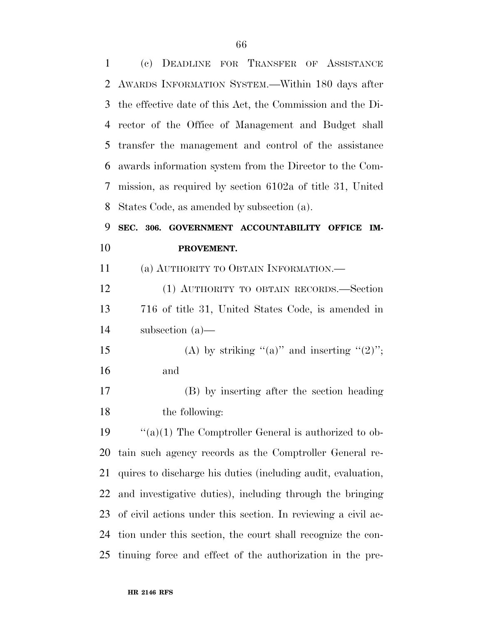| $\mathbf{1}$ | (c) DEADLINE FOR TRANSFER OF ASSISTANCE                       |
|--------------|---------------------------------------------------------------|
| 2            | AWARDS INFORMATION SYSTEM.—Within 180 days after              |
| 3            | the effective date of this Act, the Commission and the Di-    |
| 4            | rector of the Office of Management and Budget shall           |
| 5            | transfer the management and control of the assistance         |
| 6            | awards information system from the Director to the Com-       |
| 7            | mission, as required by section 6102a of title 31, United     |
| 8            | States Code, as amended by subsection (a).                    |
| 9            | SEC. 306. GOVERNMENT ACCOUNTABILITY OFFICE<br>IM-             |
| 10           | PROVEMENT.                                                    |
| 11           | (a) AUTHORITY TO OBTAIN INFORMATION.—                         |
| 12           | (1) AUTHORITY TO OBTAIN RECORDS.—Section                      |
| 13           | 716 of title 31, United States Code, is amended in            |
| 14           | subsection $(a)$ —                                            |
| 15           | (A) by striking "(a)" and inserting "(2)";                    |
| 16           | and                                                           |
| 17           | (B) by inserting after the section heading                    |
| 18           | the following:                                                |
| 19           | $``(a)(1)$ The Comptroller General is authorized to ob-       |
| 20           | tain such agency records as the Comptroller General re-       |
| 21           | quires to discharge his duties (including audit, evaluation,  |
| 22           | and investigative duties), including through the bringing     |
| 23           | of civil actions under this section. In reviewing a civil ac- |
|              |                                                               |
| 24           | tion under this section, the court shall recognize the con-   |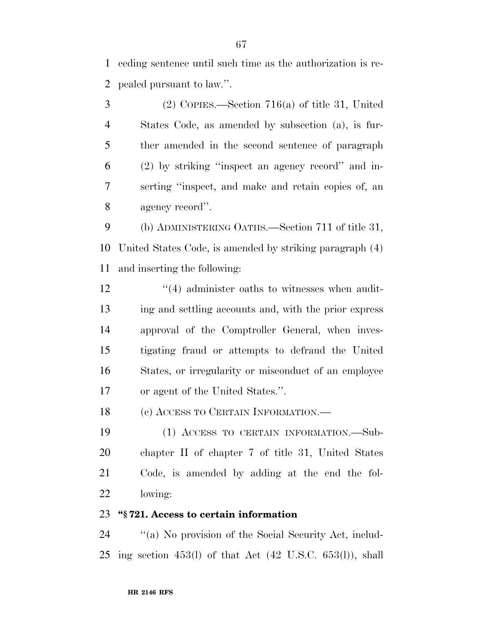ceding sentence until such time as the authorization is re-pealed pursuant to law.''.

 (2) COPIES.—Section 716(a) of title 31, United States Code, as amended by subsection (a), is fur- ther amended in the second sentence of paragraph (2) by striking ''inspect an agency record'' and in- serting ''inspect, and make and retain copies of, an agency record''.

 (b) ADMINISTERING OATHS.—Section 711 of title 31, United States Code, is amended by striking paragraph (4) and inserting the following:

12 ''(4) administer oaths to witnesses when audit- ing and settling accounts and, with the prior express approval of the Comptroller General, when inves- tigating fraud or attempts to defraud the United States, or irregularity or misconduct of an employee or agent of the United States.''.

18 (c) ACCESS TO CERTAIN INFORMATION.—

 (1) ACCESS TO CERTAIN INFORMATION.—Sub- chapter II of chapter 7 of title 31, United States Code, is amended by adding at the end the fol-lowing:

### **''§ 721. Access to certain information**

 ''(a) No provision of the Social Security Act, includ-ing section 453(l) of that Act (42 U.S.C. 653(l)), shall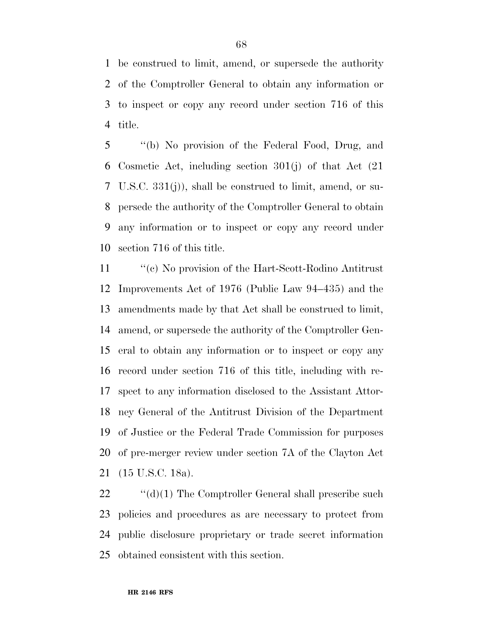be construed to limit, amend, or supersede the authority of the Comptroller General to obtain any information or to inspect or copy any record under section 716 of this title.

 ''(b) No provision of the Federal Food, Drug, and Cosmetic Act, including section 301(j) of that Act (21 U.S.C. 331(j)), shall be construed to limit, amend, or su- persede the authority of the Comptroller General to obtain any information or to inspect or copy any record under section 716 of this title.

 ''(c) No provision of the Hart-Scott-Rodino Antitrust Improvements Act of 1976 (Public Law 94–435) and the amendments made by that Act shall be construed to limit, amend, or supersede the authority of the Comptroller Gen- eral to obtain any information or to inspect or copy any record under section 716 of this title, including with re- spect to any information disclosed to the Assistant Attor- ney General of the Antitrust Division of the Department of Justice or the Federal Trade Commission for purposes of pre-merger review under section 7A of the Clayton Act (15 U.S.C. 18a).

22 "(d)(1) The Comptroller General shall prescribe such policies and procedures as are necessary to protect from public disclosure proprietary or trade secret information obtained consistent with this section.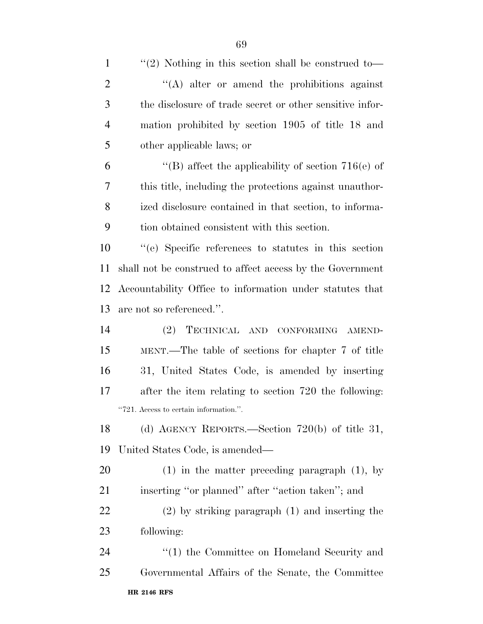| $\mathbf{1}$   | "(2) Nothing in this section shall be construed to        |
|----------------|-----------------------------------------------------------|
| $\overline{2}$ | "(A) alter or amend the prohibitions against              |
| 3              | the disclosure of trade secret or other sensitive infor-  |
| $\overline{4}$ | mation prohibited by section 1905 of title 18 and         |
| 5              | other applicable laws; or                                 |
| 6              | "(B) affect the applicability of section $716(e)$ of      |
| 7              | this title, including the protections against unauthor-   |
| 8              | ized disclosure contained in that section, to informa-    |
| 9              | tion obtained consistent with this section.               |
| 10             | "(e) Specific references to statutes in this section      |
| 11             | shall not be construed to affect access by the Government |
| 12             | Accountability Office to information under statutes that  |
| 13             | are not so referenced.".                                  |
| 14             | TECHNICAL AND CONFORMING AMEND-<br>(2)                    |
| 15             | MENT.—The table of sections for chapter 7 of title        |
| 16             | 31, United States Code, is amended by inserting           |
| 17             | after the item relating to section 720 the following:     |
|                | "721. Access to certain information.".                    |
| 18             | (d) AGENCY REPORTS.—Section $720(b)$ of title 31,         |
| 19             | United States Code, is amended—                           |
| 20             | $(1)$ in the matter preceding paragraph $(1)$ , by        |
| 21             | inserting "or planned" after "action taken"; and          |
| 22             | $(2)$ by striking paragraph $(1)$ and inserting the       |
| 23             | following:                                                |
| 24             | "(1) the Committee on Homeland Security and               |
| 25             | Governmental Affairs of the Senate, the Committee         |
|                | <b>HR 2146 RFS</b>                                        |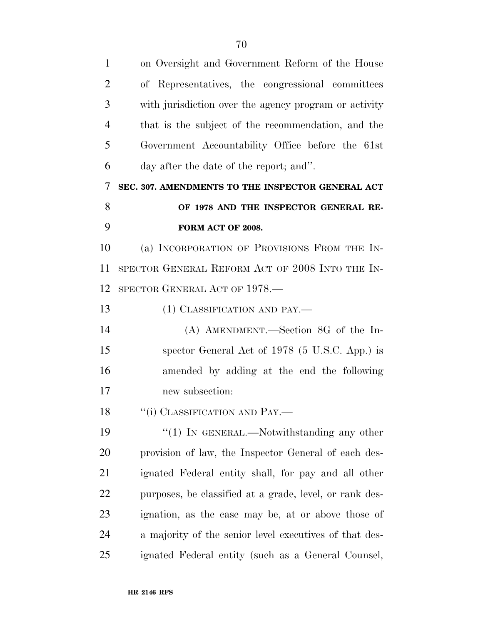| $\mathbf{1}$   | on Oversight and Government Reform of the House         |
|----------------|---------------------------------------------------------|
| $\overline{2}$ | of Representatives, the congressional committees        |
| 3              | with jurisdiction over the agency program or activity   |
| $\overline{4}$ | that is the subject of the recommendation, and the      |
| 5              | Government Accountability Office before the 61st        |
| 6              | day after the date of the report; and".                 |
| 7              | SEC. 307. AMENDMENTS TO THE INSPECTOR GENERAL ACT       |
| 8              | OF 1978 AND THE INSPECTOR GENERAL RE-                   |
| 9              | FORM ACT OF 2008.                                       |
| 10             | (a) INCORPORATION OF PROVISIONS FROM THE IN-            |
| 11             | SPECTOR GENERAL REFORM ACT OF 2008 INTO THE IN-         |
| 12             | SPECTOR GENERAL ACT OF 1978.—                           |
| 13             | (1) CLASSIFICATION AND PAY.—                            |
| 14             | (A) AMENDMENT.—Section 8G of the In-                    |
| 15             | spector General Act of 1978 (5 U.S.C. App.) is          |
| 16             | amended by adding at the end the following              |
| 17             | new subsection:                                         |
| 18             | "(i) CLASSIFICATION AND PAY.                            |
| 19             | "(1) IN GENERAL.—Notwithstanding any other              |
| 20             | provision of law, the Inspector General of each des-    |
| 21             | ignated Federal entity shall, for pay and all other     |
| 22             | purposes, be classified at a grade, level, or rank des- |
| 23             | ignation, as the case may be, at or above those of      |
| 24             | a majority of the senior level executives of that des-  |
| 25             | ignated Federal entity (such as a General Counsel,      |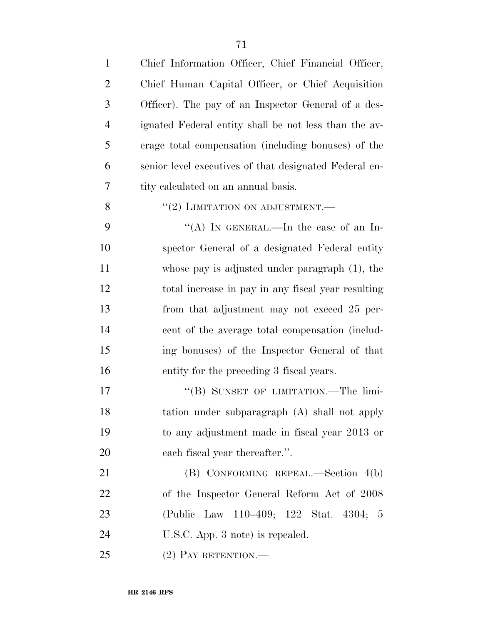| $\mathbf{1}$   | Chief Information Officer, Chief Financial Officer,    |
|----------------|--------------------------------------------------------|
| $\overline{2}$ | Chief Human Capital Officer, or Chief Acquisition      |
| 3              | Officer). The pay of an Inspector General of a des-    |
| $\overline{4}$ | ignated Federal entity shall be not less than the av-  |
| 5              | erage total compensation (including bonuses) of the    |
| 6              | senior level executives of that designated Federal en- |
| 7              | tity calculated on an annual basis.                    |
| 8              | $``(2)$ LIMITATION ON ADJUSTMENT.—                     |
| 9              | "(A) IN GENERAL.—In the case of an In-                 |
| 10             | spector General of a designated Federal entity         |
| 11             | whose pay is adjusted under paragraph $(1)$ , the      |
| 12             | total increase in pay in any fiscal year resulting     |
| 13             | from that adjustment may not exceed 25 per-            |
| 14             | cent of the average total compensation (includ-        |
| 15             | ing bonuses) of the Inspector General of that          |
| 16             | entity for the preceding 3 fiscal years.               |
| 17             | "(B) SUNSET OF LIMITATION.—The limi-                   |
| 18             | tation under subparagraph (A) shall not apply          |
| 19             | to any adjustment made in fiscal year 2013 or          |
| 20             | each fiscal year thereafter.".                         |
| 21             | (B) CONFORMING REPEAL.—Section 4(b)                    |
| 22             | of the Inspector General Reform Act of 2008            |
| 23             | (Public Law 110–409; 122 Stat. 4304; 5                 |
| 24             | U.S.C. App. 3 note) is repealed.                       |
| 25             | $(2)$ PAY RETENTION.—                                  |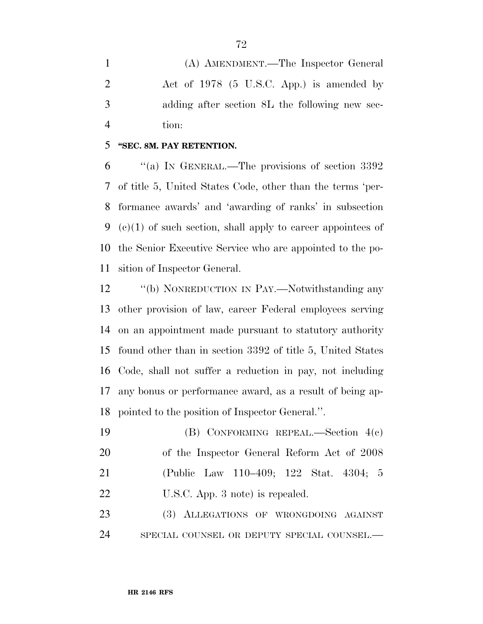(A) AMENDMENT.—The Inspector General Act of 1978 (5 U.S.C. App.) is amended by adding after section 8L the following new sec-tion:

#### **''SEC. 8M. PAY RETENTION.**

 ''(a) IN GENERAL.—The provisions of section 3392 of title 5, United States Code, other than the terms 'per- formance awards' and 'awarding of ranks' in subsection 9 (c)(1) of such section, shall apply to career appointees of the Senior Executive Service who are appointed to the po-sition of Inspector General.

12 "(b) NONREDUCTION IN PAY.—Notwithstanding any other provision of law, career Federal employees serving on an appointment made pursuant to statutory authority found other than in section 3392 of title 5, United States Code, shall not suffer a reduction in pay, not including any bonus or performance award, as a result of being ap-pointed to the position of Inspector General.''.

 (B) CONFORMING REPEAL.—Section 4(c) of the Inspector General Reform Act of 2008 (Public Law 110–409; 122 Stat. 4304; 5 22 U.S.C. App. 3 note) is repealed.

 (3) ALLEGATIONS OF WRONGDOING AGAINST SPECIAL COUNSEL OR DEPUTY SPECIAL COUNSEL.—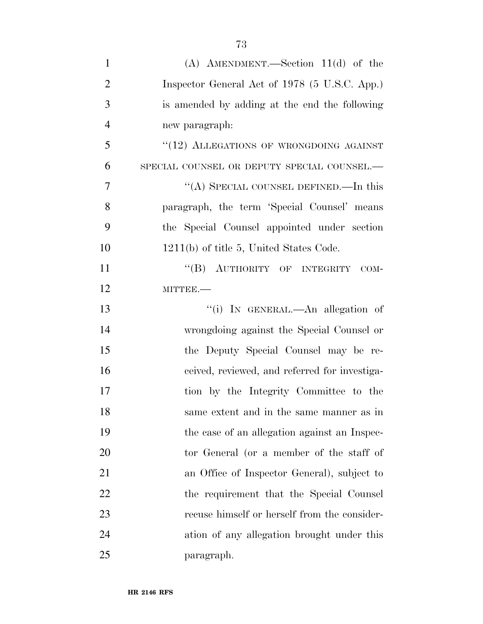| $\mathbf{1}$   | $(A)$ AMENDMENT.—Section 11(d) of the         |
|----------------|-----------------------------------------------|
| $\overline{2}$ | Inspector General Act of 1978 (5 U.S.C. App.) |
| 3              | is amended by adding at the end the following |
| $\overline{4}$ | new paragraph:                                |
| 5              | "(12) ALLEGATIONS OF WRONGDOING AGAINST       |
| 6              | SPECIAL COUNSEL OR DEPUTY SPECIAL COUNSEL.-   |
| $\overline{7}$ | "(A) SPECIAL COUNSEL DEFINED.—In this         |
| 8              | paragraph, the term 'Special Counsel' means   |
| 9              | the Special Counsel appointed under section   |
| 10             | 1211(b) of title 5, United States Code.       |
| 11             | "(B) AUTHORITY OF INTEGRITY<br>COM-           |
| 12             | MITTEE.-                                      |
| 13             | "(i) IN GENERAL.—An allegation of             |
| 14             | wrongdoing against the Special Counsel or     |
| 15             | the Deputy Special Counsel may be re-         |
| 16             | ceived, reviewed, and referred for investiga- |
| 17             | tion by the Integrity Committee to the        |
| 18             | same extent and in the same manner as in      |
| 19             | the case of an allegation against an Inspec-  |
| 20             | tor General (or a member of the staff of      |
| 21             | an Office of Inspector General), subject to   |
| 22             | the requirement that the Special Counsel      |
| 23             | recuse himself or herself from the consider-  |
| 24             | ation of any allegation brought under this    |
| 25             | paragraph.                                    |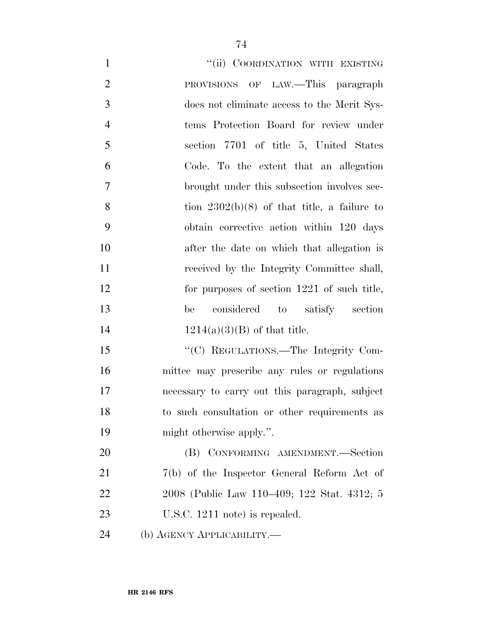| $\mathbf{1}$   | "(ii) COORDINATION WITH EXISTING               |
|----------------|------------------------------------------------|
| $\overline{2}$ | PROVISIONS OF LAW.—This paragraph              |
| 3              | does not eliminate access to the Merit Sys-    |
| $\overline{4}$ | tems Protection Board for review under         |
| 5              | section 7701 of title 5, United States         |
| 6              | Code. To the extent that an allegation         |
| $\overline{7}$ | brought under this subsection involves sec-    |
| 8              | tion $2302(b)(8)$ of that title, a failure to  |
| 9              | obtain corrective action within 120 days       |
| 10             | after the date on which that allegation is     |
| 11             | received by the Integrity Committee shall,     |
| 12             | for purposes of section 1221 of such title,    |
| 13             | considered to satisfy section<br>be            |
| 14             | $1214(a)(3)(B)$ of that title.                 |
| 15             | "(C) REGULATIONS.—The Integrity Com-           |
| 16             | mittee may prescribe any rules or regulations  |
| 17             | necessary to carry out this paragraph, subject |
| 18             | to such consultation or other requirements as  |
| 19             | might otherwise apply.".                       |
| 20             | (B) CONFORMING AMENDMENT.-Section              |
| 21             | $7(b)$ of the Inspector General Reform Act of  |
| 22             | 2008 (Public Law 110–409; 122 Stat. 4312; 5    |
| 23             | U.S.C. 1211 note) is repealed.                 |
| 24             | (b) AGENCY APPLICABILITY.—                     |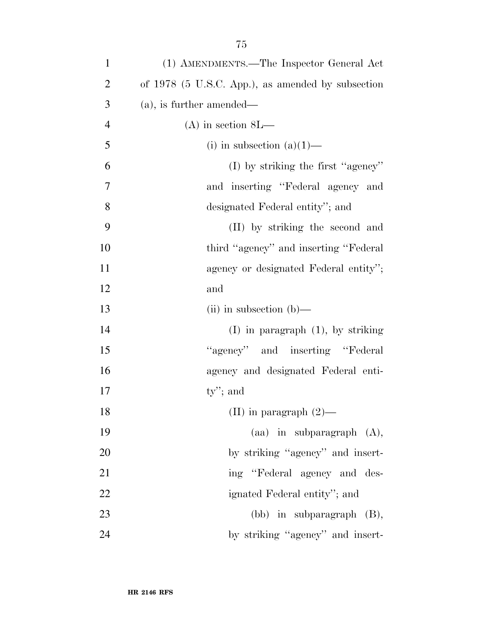| $\mathbf{1}$   | (1) AMENDMENTS.—The Inspector General Act         |
|----------------|---------------------------------------------------|
| $\overline{2}$ | of 1978 (5 U.S.C. App.), as amended by subsection |
| 3              | $(a)$ , is further amended—                       |
| $\overline{4}$ | $(A)$ in section $8L$ —                           |
| 5              | (i) in subsection $(a)(1)$ —                      |
| 6              | $(I)$ by striking the first "agency"              |
| 7              | and inserting "Federal agency and                 |
| 8              | designated Federal entity"; and                   |
| 9              | (II) by striking the second and                   |
| 10             | third "agency" and inserting "Federal"            |
| 11             | agency or designated Federal entity";             |
| 12             | and                                               |
| 13             | $(ii)$ in subsection $(b)$ —                      |
| 14             | $(I)$ in paragraph $(1)$ , by striking            |
| 15             | "agency" and inserting "Federal"                  |
| 16             | agency and designated Federal enti-               |
| 17             | $ty$ "; and                                       |
| 18             | (II) in paragraph $(2)$ —                         |
| 19             | $(aa)$ in subparagraph $(A)$ ,                    |
| 20             | by striking "agency" and insert-                  |
| 21             | ing "Federal agency and des-                      |
| 22             | ignated Federal entity"; and                      |
| 23             | (bb) in subparagraph (B),                         |
|                |                                                   |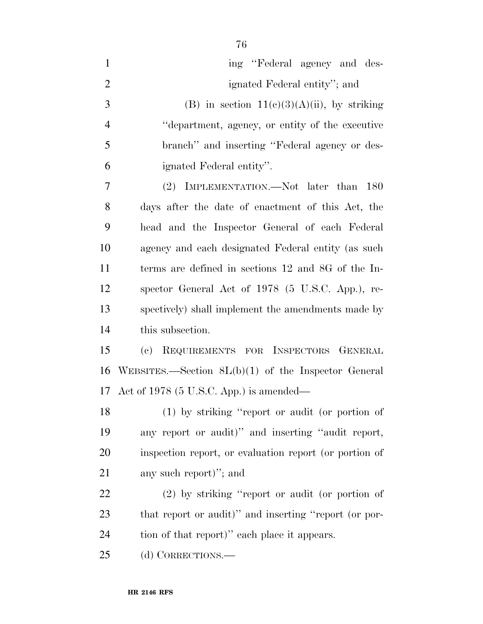| $\mathbf{1}$   | ing "Federal agency and des-                           |
|----------------|--------------------------------------------------------|
| $\overline{2}$ | ignated Federal entity"; and                           |
| 3              | (B) in section $11(c)(3)(A)(ii)$ , by striking         |
| $\overline{4}$ | "department, agency, or entity of the executive        |
| 5              | branch" and inserting "Federal agency or des-          |
| 6              | ignated Federal entity".                               |
| 7              | (2) IMPLEMENTATION.—Not later than<br><b>180</b>       |
| 8              | days after the date of enactment of this Act, the      |
| 9              | head and the Inspector General of each Federal         |
| 10             | agency and each designated Federal entity (as such     |
| 11             | terms are defined in sections 12 and 8G of the In-     |
| 12             | spector General Act of 1978 (5 U.S.C. App.), re-       |
| 13             | spectively) shall implement the amendments made by     |
| 14             | this subsection.                                       |
| 15             | REQUIREMENTS FOR INSPECTORS GENERAL<br>(e)             |
| 16             | WEBSITES.—Section $SL(b)(1)$ of the Inspector General  |
| 17             | Act of $1978$ (5 U.S.C. App.) is amended—              |
| 18             | $(1)$ by striking "report or audit (or portion of      |
| 19             | any report or audit)" and inserting "audit report,     |
| 20             | inspection report, or evaluation report (or portion of |
| 21             | any such report)"; and                                 |
| 22             | $(2)$ by striking "report or audit (or portion of      |
| 23             | that report or audit)" and inserting "report (or por-  |
| 24             | tion of that report)" each place it appears.           |
|                |                                                        |

(d) CORRECTIONS.—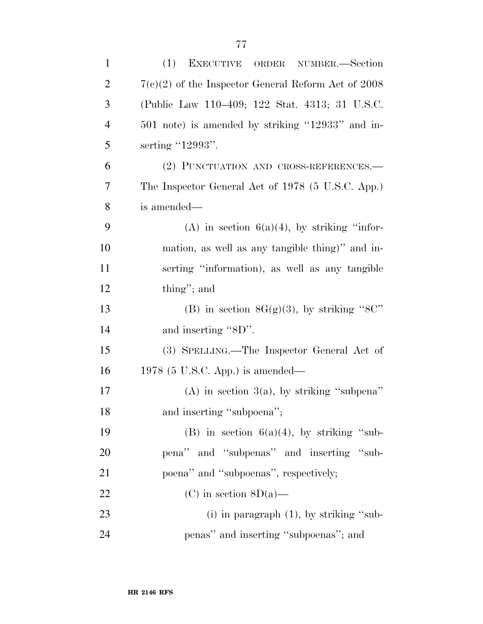| $\mathbf{1}$   | (1)<br>EXECUTIVE ORDER NUMBER.-Section                |
|----------------|-------------------------------------------------------|
| $\overline{2}$ | $7(c)(2)$ of the Inspector General Reform Act of 2008 |
| 3              | (Public Law 110–409; 122 Stat. 4313; 31 U.S.C.        |
| $\overline{4}$ | 501 note) is amended by striking "12933" and in-      |
| 5              | serting "12993".                                      |
| 6              | (2) PUNCTUATION AND CROSS-REFERENCES.-                |
| 7              | The Inspector General Act of 1978 (5 U.S.C. App.)     |
| 8              | is amended—                                           |
| 9              | (A) in section $6(a)(4)$ , by striking "infor-        |
| 10             | mation, as well as any tangible thing)" and in-       |
| 11             | serting "information), as well as any tangible        |
| 12             | thing"; and                                           |
| 13             | (B) in section $8G(g)(3)$ , by striking "8C"          |
| 14             | and inserting "8D".                                   |
| 15             | (3) SPELLING.—The Inspector General Act of            |
| 16             | $1978$ (5 U.S.C. App.) is amended—                    |
| 17             | (A) in section $3(a)$ , by striking "subpena"         |
| 18             | and inserting "subpoena";                             |
| 19             | (B) in section $6(a)(4)$ , by striking "sub-          |
| 20             | pena" and "subpenas" and inserting "sub-              |
| 21             | poena" and "subpoenas", respectively;                 |
| 22             | (C) in section $8D(a)$ —                              |
| 23             | (i) in paragraph $(1)$ , by striking "sub-            |
| 24             | penas" and inserting "subpoenas"; and                 |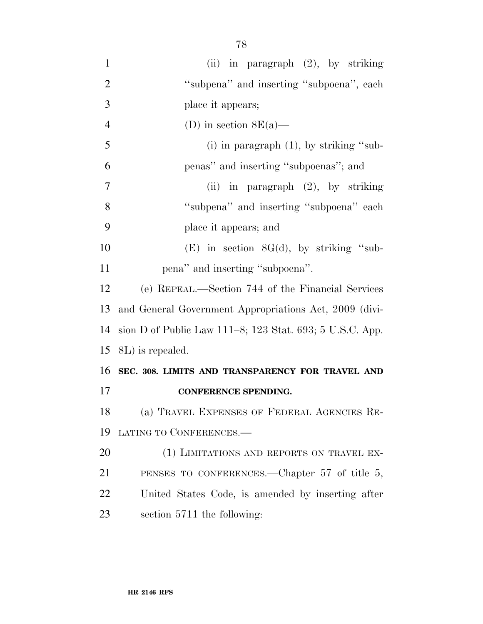| $\mathbf{1}$   | (ii) in paragraph $(2)$ , by striking                    |
|----------------|----------------------------------------------------------|
| $\overline{2}$ | "subpena" and inserting "subpoena", each                 |
| 3              | place it appears;                                        |
| $\overline{4}$ | (D) in section $8E(a)$ —                                 |
| 5              | (i) in paragraph $(1)$ , by striking "sub-               |
| 6              | penas" and inserting "subpoenas"; and                    |
| 7              | (ii) in paragraph $(2)$ , by striking                    |
| 8              | "subpena" and inserting "subpoena" each                  |
| 9              | place it appears; and                                    |
| 10             | $(E)$ in section $8G(d)$ , by striking "sub-             |
| 11             | pena" and inserting "subpoena".                          |
| 12             | (e) REPEAL.—Section 744 of the Financial Services        |
| 13             | and General Government Appropriations Act, 2009 (divi-   |
| 14             | sion D of Public Law 111–8; 123 Stat. 693; 5 U.S.C. App. |
| 15             | 8L) is repealed.                                         |
| 16             | SEC. 308. LIMITS AND TRANSPARENCY FOR TRAVEL AND         |
| 17             | CONFERENCE SPENDING.                                     |
| 18             | (a) TRAVEL EXPENSES OF FEDERAL AGENCIES RE-              |
| 19             | LATING TO CONFERENCES.-                                  |
| 20             | (1) LIMITATIONS AND REPORTS ON TRAVEL EX-                |
| 21             | PENSES TO CONFERENCES.—Chapter 57 of title 5,            |
| 22             | United States Code, is amended by inserting after        |
| 23             | section 5711 the following:                              |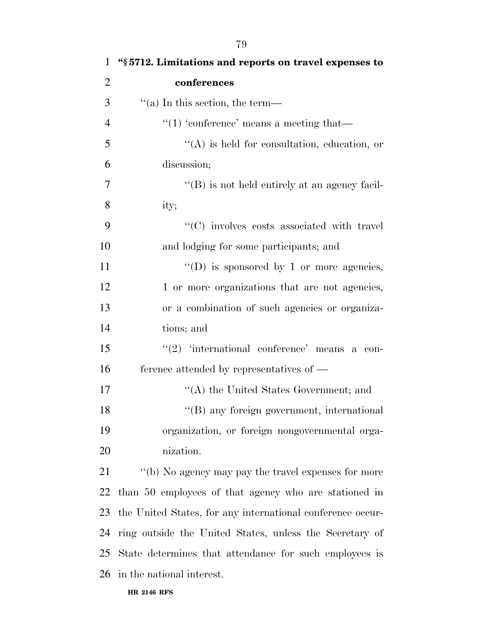| $\bf{l}$       | s 5712. Limitations and reports on travel expenses to      |
|----------------|------------------------------------------------------------|
| $\overline{2}$ | conferences                                                |
| 3              | $\cdot$ (a) In this section, the term—                     |
| $\overline{4}$ | "(1) 'conference' means a meeting that—                    |
| 5              | $\lq\lq$ is held for consultation, education, or           |
| 6              | discussion;                                                |
| 7              | $\lq\lq (B)$ is not held entirely at an agency facil-      |
| 8              | ity;                                                       |
| 9              | "(C) involves costs associated with travel                 |
| 10             | and lodging for some participants; and                     |
| 11             | "(D) is sponsored by 1 or more agencies,                   |
| 12             | 1 or more organizations that are not agencies,             |
| 13             | or a combination of such agencies or organiza-             |
| 14             | tions; and                                                 |
| 15             | " $(2)$ 'international conference' means a con-            |
| 16             | ference attended by representatives of $-$                 |
| 17             | "(A) the United States Government; and                     |
| 18             | "(B) any foreign government, international                 |
| 19             | organization, or foreign nongovernmental orga-             |
| 20             | nization.                                                  |
| 21             | "(b) No agency may pay the travel expenses for more        |
| 22             | than 50 employees of that agency who are stationed in      |
| 23             | the United States, for any international conference occur- |
| 24             | ring outside the United States, unless the Secretary of    |
| 25             | State determines that attendance for such employees is     |
| 26             | in the national interest.                                  |
|                |                                                            |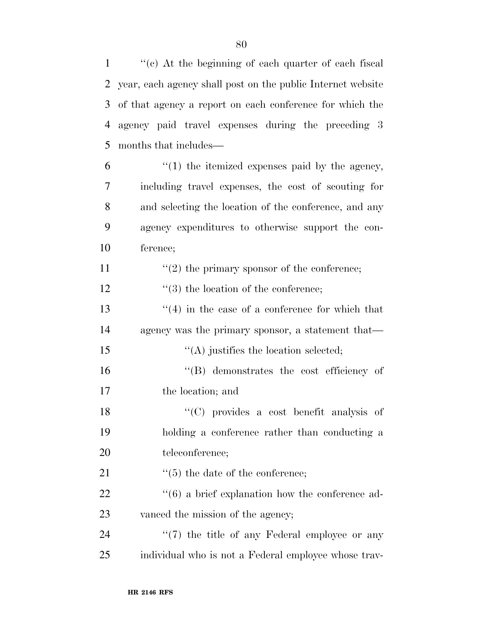''(c) At the beginning of each quarter of each fiscal year, each agency shall post on the public Internet website of that agency a report on each conference for which the agency paid travel expenses during the preceding 3 months that includes—

 $\frac{6}{1}$  <sup>(1)</sup> the itemized expenses paid by the agency, including travel expenses, the cost of scouting for and selecting the location of the conference, and any agency expenditures to otherwise support the con-ference;

11  $(2)$  the primary sponsor of the conference;

12  $\frac{1}{3}$  the location of the conference;

13  $\frac{13}{2}$   $\frac{13}{2}$  in the case of a conference for which that agency was the primary sponsor, a statement that— 15  $\langle (A) \rangle$  justifies the location selected;

 ''(B) demonstrates the cost efficiency of the location; and

 ''(C) provides a cost benefit analysis of holding a conference rather than conducting a teleconference;

21 ''(5) the date of the conference;

22 ''(6) a brief explanation how the conference ad-23 vanced the mission of the agency;

24  $\frac{1}{2}$  (7) the title of any Federal employee or any individual who is not a Federal employee whose trav-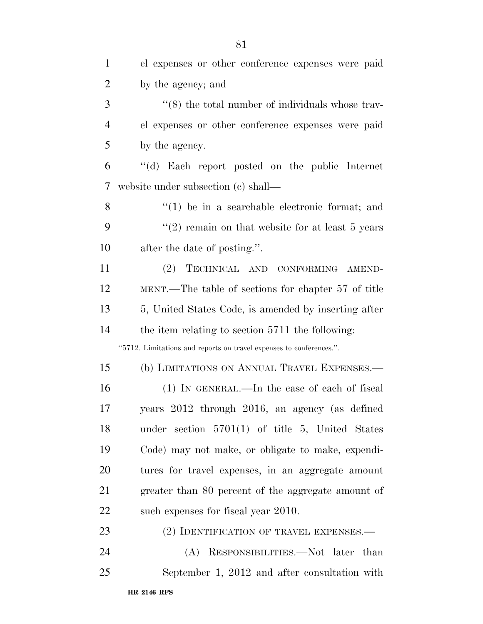| $\mathbf{1}$   | el expenses or other conference expenses were paid                  |  |
|----------------|---------------------------------------------------------------------|--|
| $\overline{2}$ | by the agency; and                                                  |  |
| 3              | $\cdot\cdot$ (8) the total number of individuals whose trav-        |  |
| $\overline{4}$ | el expenses or other conference expenses were paid                  |  |
| 5              | by the agency.                                                      |  |
| 6              | "(d) Each report posted on the public Internet                      |  |
| 7              | website under subsection (c) shall—                                 |  |
| 8              | $\lq(1)$ be in a searchable electronic format; and                  |  |
| 9              | "(2) remain on that website for at least $5$ years                  |  |
| 10             | after the date of posting.".                                        |  |
| 11             | (2)<br>TECHNICAL AND CONFORMING AMEND-                              |  |
| 12             | MENT.—The table of sections for chapter 57 of title                 |  |
| 13             | 5, United States Code, is amended by inserting after                |  |
| 14             | the item relating to section 5711 the following:                    |  |
|                | "5712. Limitations and reports on travel expenses to conferences.". |  |
| 15             | (b) LIMITATIONS ON ANNUAL TRAVEL EXPENSES.—                         |  |
| 16             | (1) IN GENERAL.—In the case of each of fiscal                       |  |
| 17             | years 2012 through 2016, an agency (as defined                      |  |
| 18             | under section $5701(1)$ of title 5, United States                   |  |
| 19             | Code) may not make, or obligate to make, expendi-                   |  |
| 20             | tures for travel expenses, in an aggregate amount                   |  |
| 21             | greater than 80 percent of the aggregate amount of                  |  |
| 22             | such expenses for fiscal year 2010.                                 |  |
| 23             | (2) IDENTIFICATION OF TRAVEL EXPENSES.—                             |  |
| 24             | (A) RESPONSIBILITIES.—Not later than                                |  |
| 25             | September 1, 2012 and after consultation with                       |  |
|                |                                                                     |  |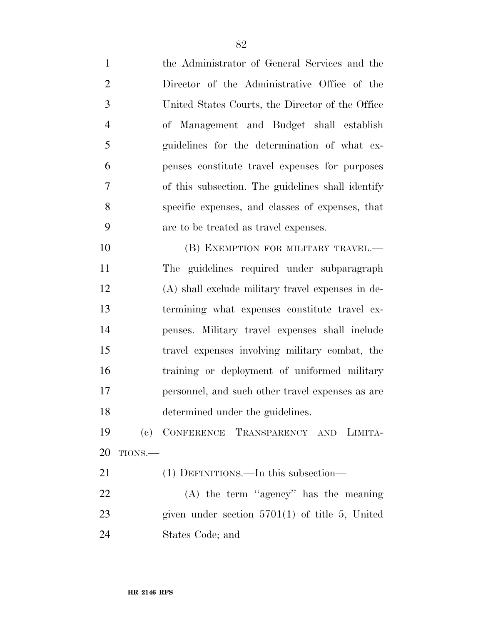| $\mathbf{1}$   |        | the Administrator of General Services and the     |
|----------------|--------|---------------------------------------------------|
| $\overline{2}$ |        | Director of the Administrative Office of the      |
| 3              |        | United States Courts, the Director of the Office  |
| $\overline{4}$ |        | of Management and Budget shall establish          |
| 5              |        | guidelines for the determination of what ex-      |
| 6              |        | penses constitute travel expenses for purposes    |
| $\overline{7}$ |        | of this subsection. The guidelines shall identify |
| 8              |        | specific expenses, and classes of expenses, that  |
| 9              |        | are to be treated as travel expenses.             |
| 10             |        | (B) EXEMPTION FOR MILITARY TRAVEL.-               |
| 11             |        | The guidelines required under subparagraph        |
| 12             |        | (A) shall exclude military travel expenses in de- |
| 13             |        | termining what expenses constitute travel ex-     |
| 14             |        | penses. Military travel expenses shall include    |
| 15             |        | travel expenses involving military combat, the    |
| 16             |        | training or deployment of uniformed military      |
| 17             |        | personnel, and such other travel expenses as are  |
| 18             |        | determined under the guidelines.                  |
| 19             |        | (c) CONFERENCE TRANSPARENCY AND LIMITA-           |
| 20             | TIONS. |                                                   |
| 21             |        | (1) DEFINITIONS.—In this subsection—              |
| 22             |        | $(A)$ the term "agency" has the meaning           |
| 23             |        | given under section $5701(1)$ of title 5, United  |
| 24             |        | States Code; and                                  |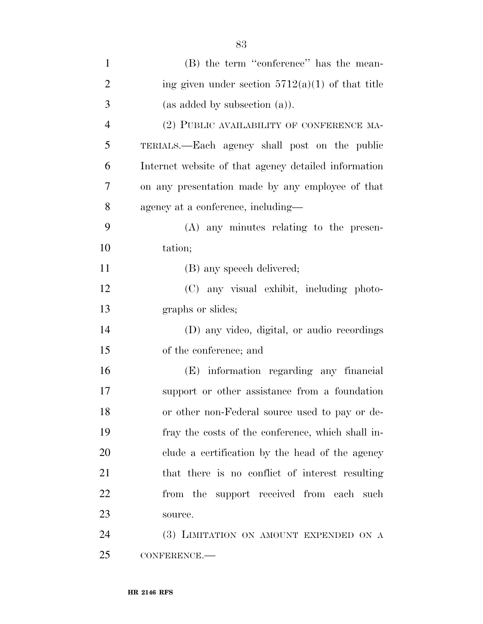| $\mathbf{1}$   | (B) the term "conference" has the mean-              |
|----------------|------------------------------------------------------|
| $\overline{2}$ | ing given under section $5712(a)(1)$ of that title   |
| 3              | (as added by subsection (a)).                        |
| $\overline{4}$ | (2) PUBLIC AVAILABILITY OF CONFERENCE MA-            |
| 5              | TERIALS.—Each agency shall post on the public        |
| 6              | Internet website of that agency detailed information |
| 7              | on any presentation made by any employee of that     |
| 8              | agency at a conference, including—                   |
| 9              | $(A)$ any minutes relating to the presen-            |
| 10             | tation;                                              |
| 11             | (B) any speech delivered;                            |
| 12             | (C) any visual exhibit, including photo-             |
| 13             | graphs or slides;                                    |
| 14             | (D) any video, digital, or audio recordings          |
| 15             | of the conference; and                               |
| 16             | (E) information regarding any financial              |
| 17             | support or other assistance from a foundation        |
| 18             | or other non-Federal source used to pay or de-       |
| 19             | fray the costs of the conference, which shall in-    |
| 20             | clude a certification by the head of the agency      |
| 21             | that there is no conflict of interest resulting      |
| 22             | from the support received from each such             |
| 23             | source.                                              |
| 24             | (3) LIMITATION ON AMOUNT EXPENDED ON A               |
| 25             | CONFERENCE.                                          |